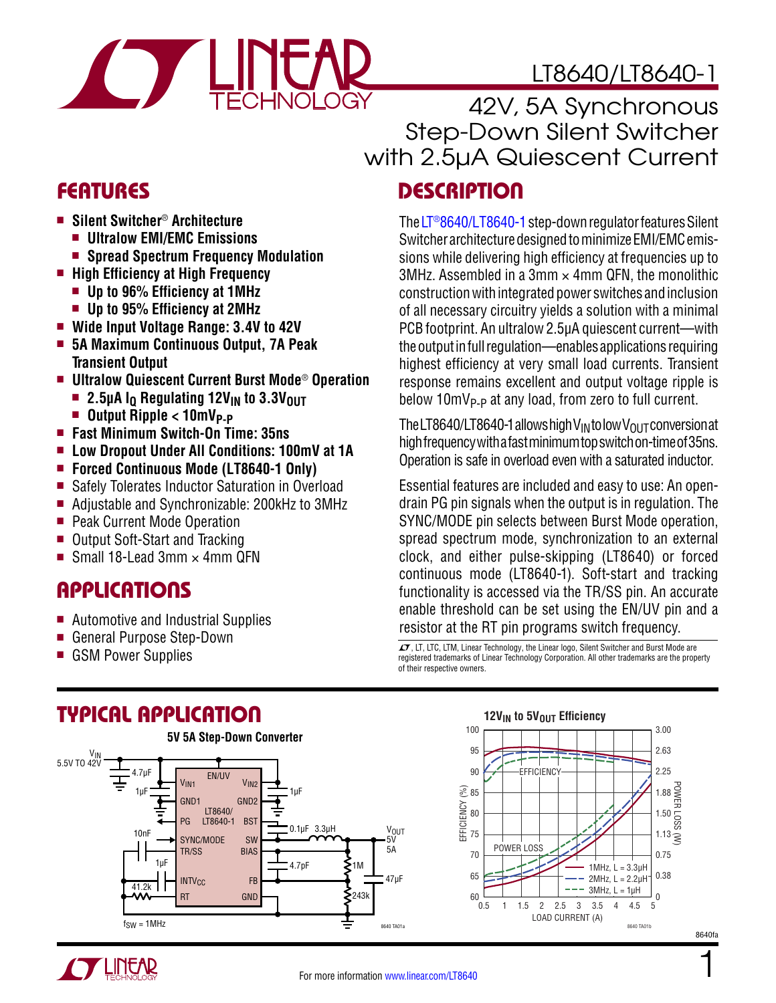

## LT8640/LT8640-1

42V, 5A Synchronous Step-Down Silent Switcher with 2.5µA Quiescent Current

### FEATURES DESCRIPTION

The [LT®8640/LT8640-1](http://www.linear.com/LT8640) step-down regulator features Silent Switcher architecture designed to minimize EMI/EMC emissions while delivering high efficiency at frequencies up to 3MHz. Assembled in a 3mm  $\times$  4mm QFN, the monolithic construction with integrated power switches and inclusion of all necessary circuitry yields a solution with a minimal PCB footprint. An ultralow 2.5µA quiescent current—with the output in full regulation—enables applications requiring highest efficiency at very small load currents. Transient response remains excellent and output voltage ripple is below 10mV<sub>P-P</sub> at any load, from zero to full current.

The LT8640/LT8640-1 allows high V<sub>IN</sub> to low V<sub>OUT</sub> conversion at high frequency with a fast minimum top switch on-time of 35ns. Operation is safe in overload even with a saturated inductor.

Essential features are included and easy to use: An opendrain PG pin signals when the output is in regulation. The SYNC/MODE pin selects between Burst Mode operation, spread spectrum mode, synchronization to an external clock, and either pulse-skipping (LT8640) or forced continuous mode (LT8640-1). Soft-start and tracking functionality is accessed via the TR/SS pin. An accurate enable threshold can be set using the EN/UV pin and a resistor at the RT pin programs switch frequency.

GON CORP DOWER SUPPLIES LIGHT AND THE THEORY CONTROLL OF SUPPLIES THEORY CONTROLL OF SUPPLIES THEORY CONTROLL T<br>GSM POWER Supplies Light Andreas The Discover of Linear Technology, the Linear Technology, Silent Switcher and registered trademarks of Linear Technology Corporation. All other trademarks are the property of their respective owners.

- Silent Switcher<sup>®</sup> Architecture
	- $\blacksquare$  **Ultralow EMI/EMC Emissions**
	- Spread Spectrum Frequency Modulation
- $\blacksquare$  **High Efficiency at High Frequency** 
	- **n** Up to 96% Efficiency at 1MHz
	- Up to 95% Efficiency at 2MHz
- Wide Input Voltage Range: 3.4V to 42V
- <sup>n</sup> **5A Maximum Continuous Output, 7A Peak Transient Output**
- <sup>n</sup> **Ultralow Quiescent Current Burst Mode**® **Operation**
	- **n** 2.5µA I<sub>O</sub> Regulating 12V<sub>IN</sub> to 3.3V<sub>OUT</sub>
	- **n** Output Ripple < 10mV<sub>P-P</sub>
- <sup>n</sup> **Fast Minimum Switch-On Time: 35ns**
- Low Dropout Under All Conditions: 100mV at 1A
- Forced Continuous Mode (LT8640-1 Only)
- Safely Tolerates Inductor Saturation in Overload
- Adjustable and Synchronizable: 200kHz to 3MHz
- Peak Current Mode Operation
- Output Soft-Start and Tracking
- Small 18-Lead 3mm  $\times$  4mm QFN

# Applications

- Automotive and Industrial Supplies
- General Purpose Step-Down
- 

# Typical Application







1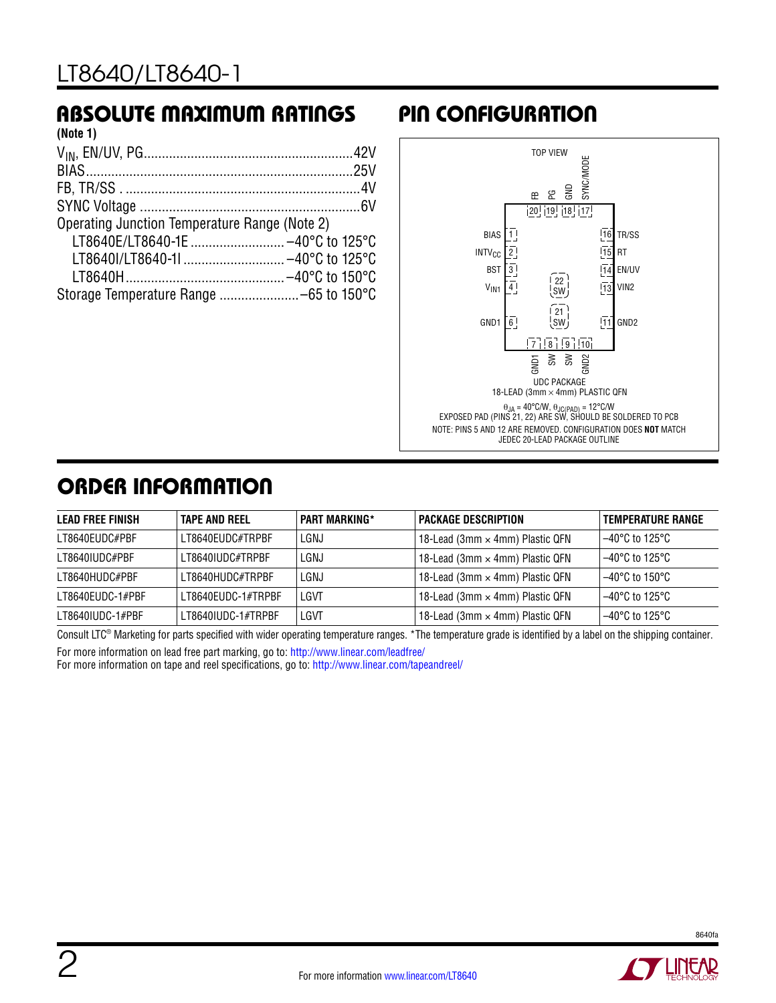### Absolute Maximum Ratings Pin Configuration

| (Note 1)                                      |  |
|-----------------------------------------------|--|
|                                               |  |
|                                               |  |
|                                               |  |
|                                               |  |
| Operating Junction Temperature Range (Note 2) |  |
| LT8640E/LT8640-1E  -40°C to 125°C             |  |
| LT8640I/LT8640-1I  -40°C to 125°C             |  |
|                                               |  |
|                                               |  |
|                                               |  |



# ORDER INFORMATION

| <b>LEAD FREE FINISH</b> | <b>TAPE AND REEL</b> | <b>PART MARKING*</b> | <b>PACKAGE DESCRIPTION</b>             | <b>TEMPERATURE RANGE</b>            |
|-------------------------|----------------------|----------------------|----------------------------------------|-------------------------------------|
| LT8640EUDC#PBF          | LT8640EUDC#TRPBF     | LGNJ                 | 18-Lead (3mm × 4mm) Plastic QFN        | $-40^{\circ}$ C to 125°C            |
| LT8640IUDC#PBF          | LT8640IUDC#TRPBF     | LGNJ                 | 18-Lead (3mm × 4mm) Plastic QFN        | $-40^{\circ}$ C to 125 $^{\circ}$ C |
| LT8640HUDC#PBF          | I T8640HUDC#TRPRF    | LGNJ                 | 18-Lead (3mm $\times$ 4mm) Plastic QFN | $-40^{\circ}$ C to 150°C            |
| LT8640EUDC-1#PBF        | LT8640EUDC-1#TRPBF   | LGVT                 | 18-Lead (3mm $\times$ 4mm) Plastic QFN | $-40^{\circ}$ C to 125 $^{\circ}$ C |
| LT8640IUDC-1#PBF        | LT8640IUDC-1#TRPBF   | LGVT                 | 18-Lead (3mm × 4mm) Plastic QFN        | $-40^{\circ}$ C to 125°C            |

Consult LTC® Marketing for parts specified with wider operating temperature ranges. \*The temperature grade is identified by a label on the shipping container.

For more information on lead free part marking, go to:<http://www.linear.com/leadfree/>

For more information on tape and reel specifications, go to: <http://www.linear.com/tapeandreel/>

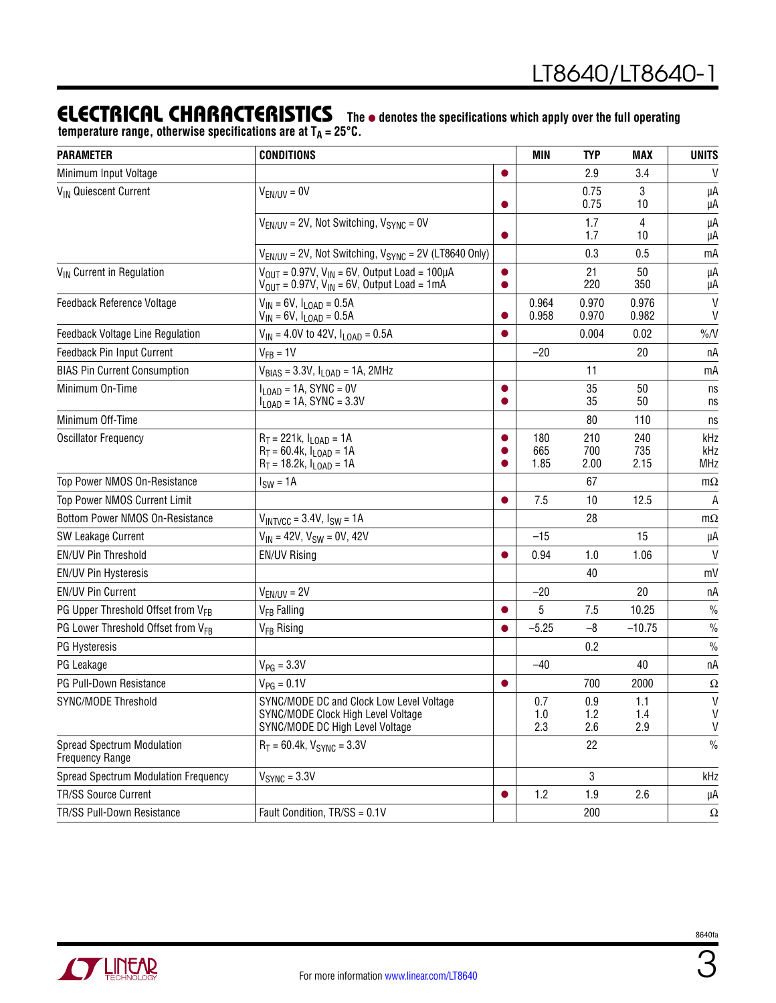### ELECTRICAL CHARACTERISTICS The  $\bullet$  denotes the specifications which apply over the full operating

temperature range, otherwise specifications are at T<sub>A</sub> = 25°C.

| <b>PARAMETER</b>                                            | <b>CONDITIONS</b>                                                                                                                            |                             | <b>MIN</b>          | <b>TYP</b>         | <b>MAX</b>         | <b>UNITS</b>             |
|-------------------------------------------------------------|----------------------------------------------------------------------------------------------------------------------------------------------|-----------------------------|---------------------|--------------------|--------------------|--------------------------|
| Minimum Input Voltage                                       |                                                                                                                                              | $\bullet$                   |                     | 2.9                | 3.4                | V                        |
| V <sub>IN</sub> Quiescent Current                           | $V_{EN/UV} = 0V$                                                                                                                             | $\bullet$                   |                     | 0.75<br>0.75       | 3<br>10            | μA<br>μA                 |
|                                                             | $V_{FN/UV}$ = 2V, Not Switching, $V_{SYNC}$ = 0V                                                                                             | $\bullet$                   |                     | 1.7<br>1.7         | 4<br>10            | μA<br>μA                 |
|                                                             | $V_{EN/UV}$ = 2V, Not Switching, $V_{SYNC}$ = 2V (LT8640 Only)                                                                               |                             |                     | 0.3                | 0.5                | mA                       |
| V <sub>IN</sub> Current in Regulation                       | $V_{\text{OUT}} = 0.97V$ , $V_{\text{IN}} = 6V$ , Output Load = 100µA<br>$V_{\text{OUT}} = 0.97V$ , $V_{\text{IN}} = 6V$ , Output Load = 1mA | $\bullet$                   |                     | 21<br>220          | 50<br>350          | μA<br>μA                 |
| Feedback Reference Voltage                                  | $V_{IN}$ = 6V, $I_{LOAD}$ = 0.5A<br>$V_{IN}$ = 6V, $I_{LOAD}$ = 0.5A                                                                         | $\bullet$                   | 0.964<br>0.958      | 0.970<br>0.970     | 0.976<br>0.982     | V<br>V                   |
| <b>Feedback Voltage Line Regulation</b>                     | $V_{IN}$ = 4.0V to 42V, $I_{LOAD}$ = 0.5A                                                                                                    | $\bullet$                   |                     | 0.004              | 0.02               | $\%N$                    |
| Feedback Pin Input Current                                  | $V_{FB} = 1V$                                                                                                                                |                             | $-20$               |                    | 20                 | пA                       |
| <b>BIAS Pin Current Consumption</b>                         | $V_{BIAS} = 3.3V, I_{LOAD} = 1A, 2MHz$                                                                                                       |                             |                     | 11                 |                    | mA                       |
| Minimum On-Time                                             | $II$ $OAD = 1A$ , SYNC = 0V<br>$I_{\text{LOAD}}$ = 1A, SYNC = 3.3V                                                                           | $\bullet$<br>$\bullet$      |                     | 35<br>35           | 50<br>50           | ns<br>ns                 |
| Minimum Off-Time                                            |                                                                                                                                              |                             |                     | 80                 | 110                | ns                       |
| <b>Oscillator Frequency</b>                                 | $R_T = 221k$ , $I_{LOAD} = 1A$<br>$R_T = 60.4k$ , $I_{LOAD} = 1A$<br>$R_T = 18.2k$ , $I_{LOAD} = 1A$                                         | $\bullet$<br>●<br>$\bullet$ | 180<br>665<br>1.85  | 210<br>700<br>2.00 | 240<br>735<br>2.15 | kHz<br>kHz<br><b>MHz</b> |
| Top Power NMOS On-Resistance                                | $I_{SW} = 1A$                                                                                                                                |                             |                     | 67                 |                    | $m\Omega$                |
| Top Power NMOS Current Limit                                |                                                                                                                                              | $\bullet$                   | 7.5                 | 10                 | 12.5               | A                        |
| Bottom Power NMOS On-Resistance                             | $V_{INTVCC} = 3.4V$ , $I_{SW} = 1A$                                                                                                          |                             |                     | 28                 |                    | $m\Omega$                |
| <b>SW Leakage Current</b>                                   | $V_{IN}$ = 42V, $V_{SW}$ = 0V, 42V                                                                                                           |                             | $-15$               |                    | 15                 | μA                       |
| EN/UV Pin Threshold                                         | <b>EN/UV Rising</b>                                                                                                                          | $\bullet$                   | 0.94                | 1.0                | 1.06               | $\mathsf{V}$             |
| <b>EN/UV Pin Hysteresis</b>                                 |                                                                                                                                              |                             |                     | 40                 |                    | mV                       |
| <b>EN/UV Pin Current</b>                                    | $V_{EN/UV} = 2V$                                                                                                                             |                             | $-20$               |                    | 20                 | пA                       |
| PG Upper Threshold Offset from V <sub>FB</sub>              | V <sub>FB</sub> Falling                                                                                                                      | $\bullet$                   | 5                   | 7.5                | 10.25              | $\frac{0}{0}$            |
| PG Lower Threshold Offset from VFB                          | V <sub>FB</sub> Rising                                                                                                                       | $\bullet$                   | $-5.25$             | $-8$               | $-10.75$           | $\%$                     |
| PG Hysteresis                                               |                                                                                                                                              |                             |                     | 0.2                |                    | $\frac{0}{0}$            |
| PG Leakage                                                  | $V_{PG} = 3.3V$                                                                                                                              |                             | $-40$               |                    | 40                 | пA                       |
| PG Pull-Down Resistance                                     | $V_{PG} = 0.1V$                                                                                                                              | $\bullet$                   |                     | 700                | 2000               | $\Omega$                 |
| SYNC/MODE Threshold                                         | SYNC/MODE DC and Clock Low Level Voltage<br>SYNC/MODE Clock High Level Voltage<br>SYNC/MODE DC High Level Voltage                            |                             | 0.7<br>$1.0$<br>2.3 | 0.9<br>1.2<br>2.6  | 1.1<br>1.4<br>2.9  | V<br>V<br>$\mathsf{V}$   |
| <b>Spread Spectrum Modulation</b><br><b>Frequency Range</b> | $R_T = 60.4k$ , $V_{SYNC} = 3.3V$                                                                                                            |                             |                     | 22                 |                    | $\%$                     |
| <b>Spread Spectrum Modulation Frequency</b>                 | $VSYNC = 3.3V$                                                                                                                               |                             |                     | $\mathbf{3}$       |                    | kHz                      |
| <b>TR/SS Source Current</b>                                 |                                                                                                                                              | $\bullet$                   | 1.2                 | 1.9                | 2.6                | μA                       |
| TR/SS Pull-Down Resistance                                  | Fault Condition, TR/SS = 0.1V                                                                                                                |                             |                     | 200                |                    | $\Omega$                 |

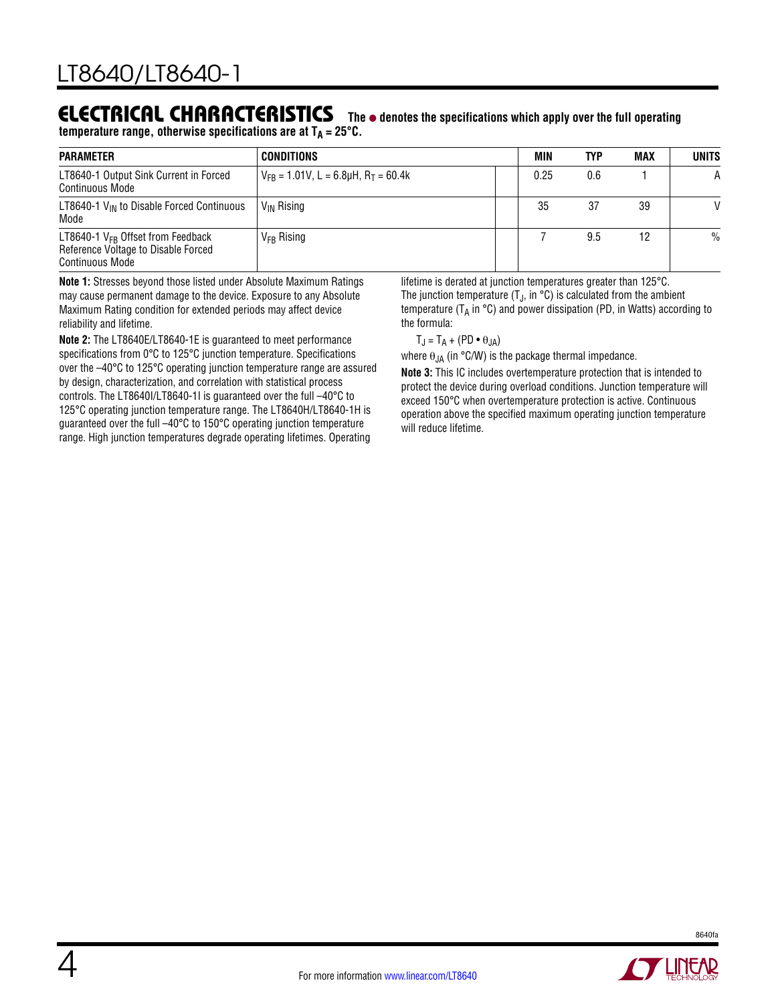#### Electrical Characteristics The  $\bullet$  denotes the specifications which apply over the full operating temperature range, otherwise specifications are at T<sub>A</sub> = 25°C.

| <b>PARAMETER</b>                                                                                        | CONDITIONS                                                  | MIN  | TYP | <b>MAX</b> | <b>UNITS</b>  |
|---------------------------------------------------------------------------------------------------------|-------------------------------------------------------------|------|-----|------------|---------------|
| LT8640-1 Output Sink Current in Forced<br><b>Continuous Mode</b>                                        | $V_{\text{FR}}$ = 1.01V, L = 6.8µH, R $_{\text{T}}$ = 60.4k | 0.25 | 0.6 |            | A             |
| LT8640-1 $V_{IN}$ to Disable Forced Continuous<br>Mode                                                  | V <sub>IN</sub> Rising                                      | 35   | 37  | 39         | V             |
| LT8640-1 $V_{FB}$ Offset from Feedback<br>Reference Voltage to Disable Forced<br><b>Continuous Mode</b> | $V_{FB}$ Rising                                             |      | 9.5 | 12         | $\frac{0}{0}$ |

**Note 1:** Stresses beyond those listed under Absolute Maximum Ratings may cause permanent damage to the device. Exposure to any Absolute Maximum Rating condition for extended periods may affect device reliability and lifetime.

**Note 2:** The LT8640E/LT8640-1E is guaranteed to meet performance specifications from 0°C to 125°C junction temperature. Specifications over the –40°C to 125°C operating junction temperature range are assured by design, characterization, and correlation with statistical process controls. The LT8640I/LT8640-1I is guaranteed over the full –40°C to 125°C operating junction temperature range. The LT8640H/LT8640-1H is guaranteed over the full –40°C to 150°C operating junction temperature range. High junction temperatures degrade operating lifetimes. Operating

lifetime is derated at junction temperatures greater than 125°C. The junction temperature  $(T_J, in °C)$  is calculated from the ambient temperature ( $T_A$  in  $\degree$ C) and power dissipation (PD, in Watts) according to the formula:

$$
T_J = T_A + (PD \bullet \theta_{JA})
$$

where  $\theta_{JA}$  (in °C/W) is the package thermal impedance.

**Note 3:** This IC includes overtemperature protection that is intended to protect the device during overload conditions. Junction temperature will exceed 150°C when overtemperature protection is active. Continuous operation above the specified maximum operating junction temperature will reduce lifetime.

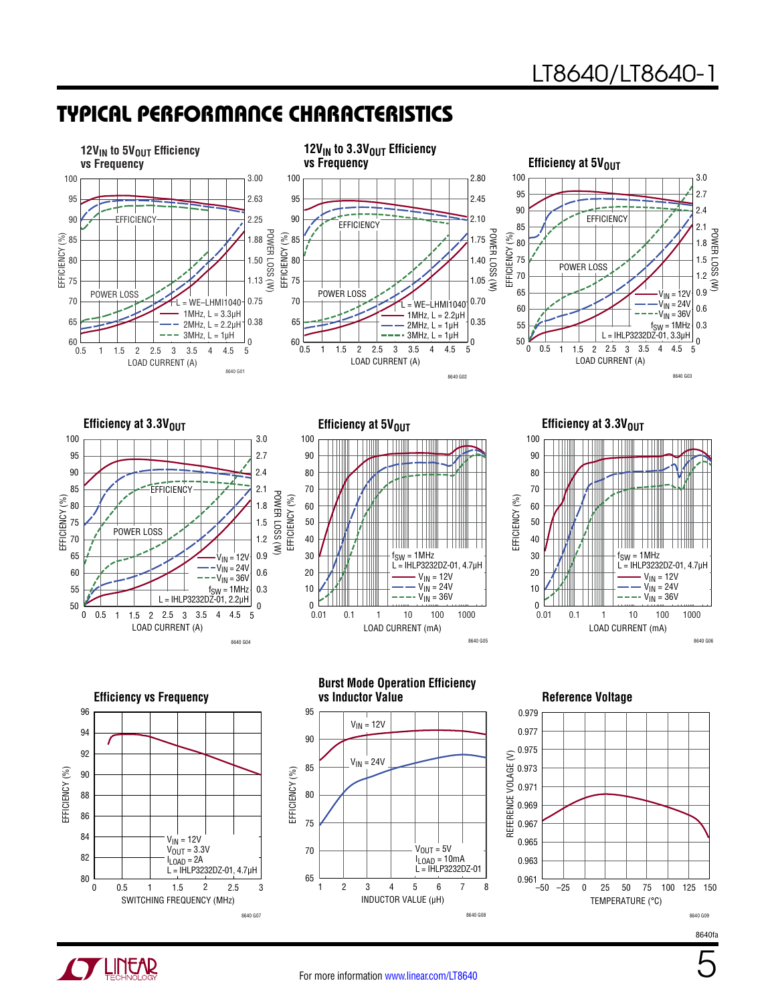POWER LOSS (W)

POWER LOSS (W)

### Typical Performance Characteristics









**Efficiency at 3.3V<sub>OUT</sub>** 



**Efficiency vs Frequency** 96 94 1 92 EFFICIENCY (%) EFFICIENCY (%) 90 88 86 84  $V_{IN}$  = 12V  $V_{\text{OUT}} = 3.3V$ 82 l<sub>LOAD</sub> = 2A<br>L = IHLP3232DZ-01, 4.7μH 80 0 0.5 1 1.5 2 2.5 3 SWITCHING FREQUENCY (MHz) 8640 G07



**Reference Voltage** 



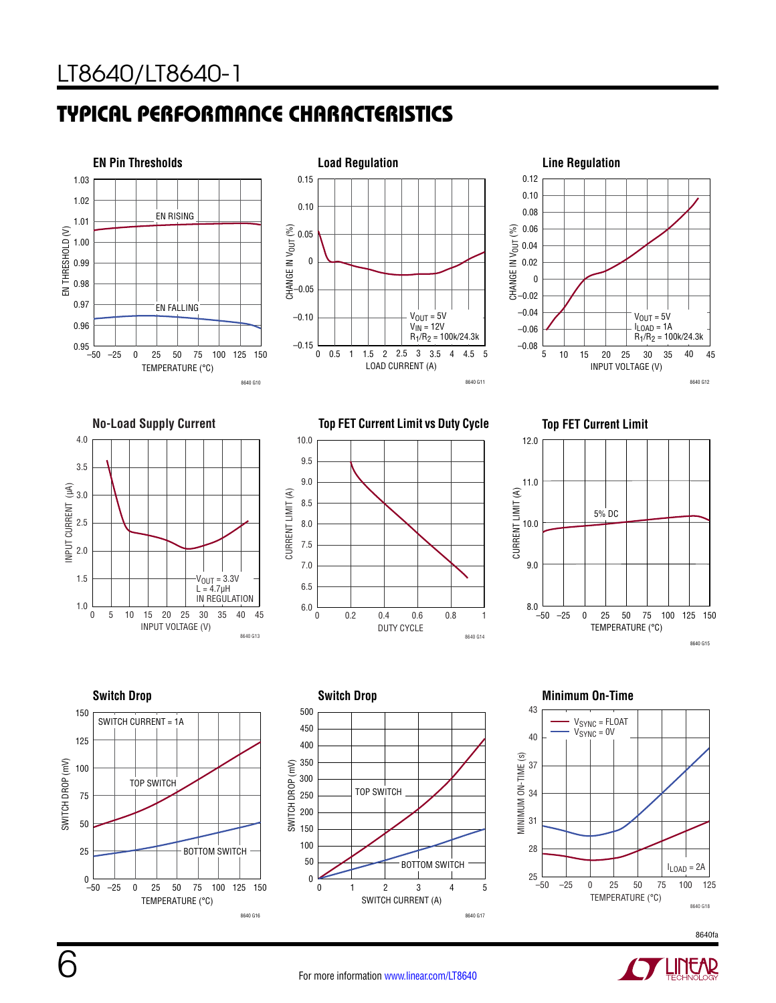







**Top FET Current Limit vs Duty Cycle Top FET Current Limit**











8640fa



6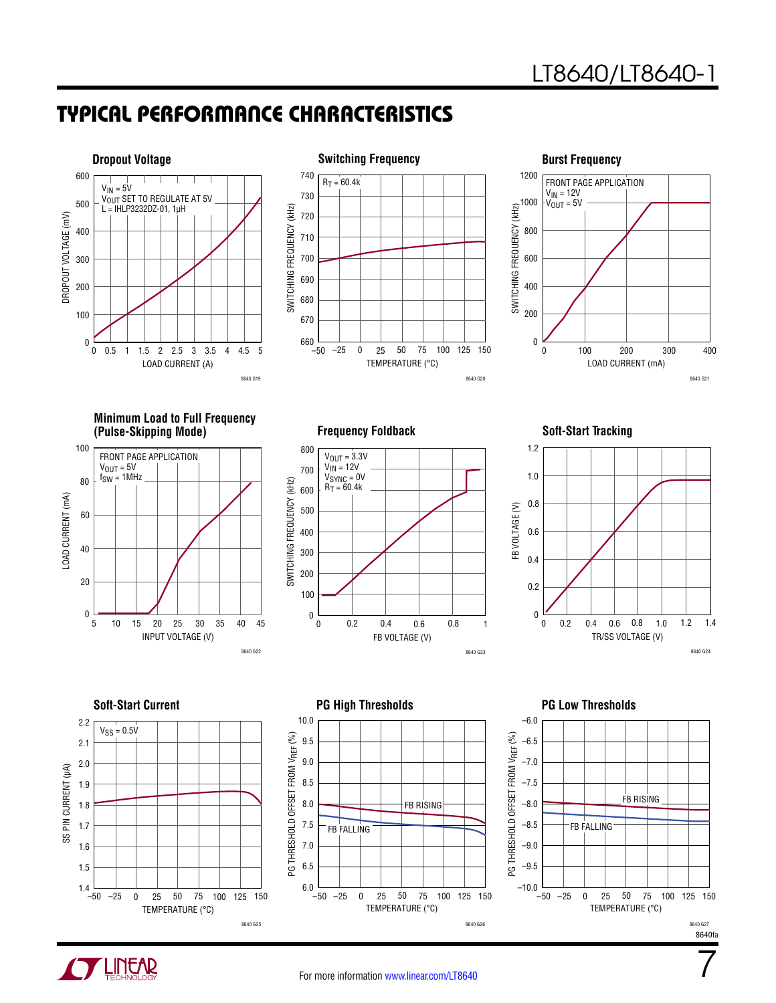





**Minimum Load to Full Frequency (Pulse-Skipping Mode) Soft-Start Tracking**



**Frequency Foldback**





2.2  $V_{SS} = 0.5V$ 2.1 2.0 SS PIN CURRENT (µA) SS PIN CURRENT (µA) 1.9 1.8 1.7 1.6 1.5 1.4  $-50$ –25 0 25 50 75 100 125 150 TEMPERATURE (°C) 8640 G25





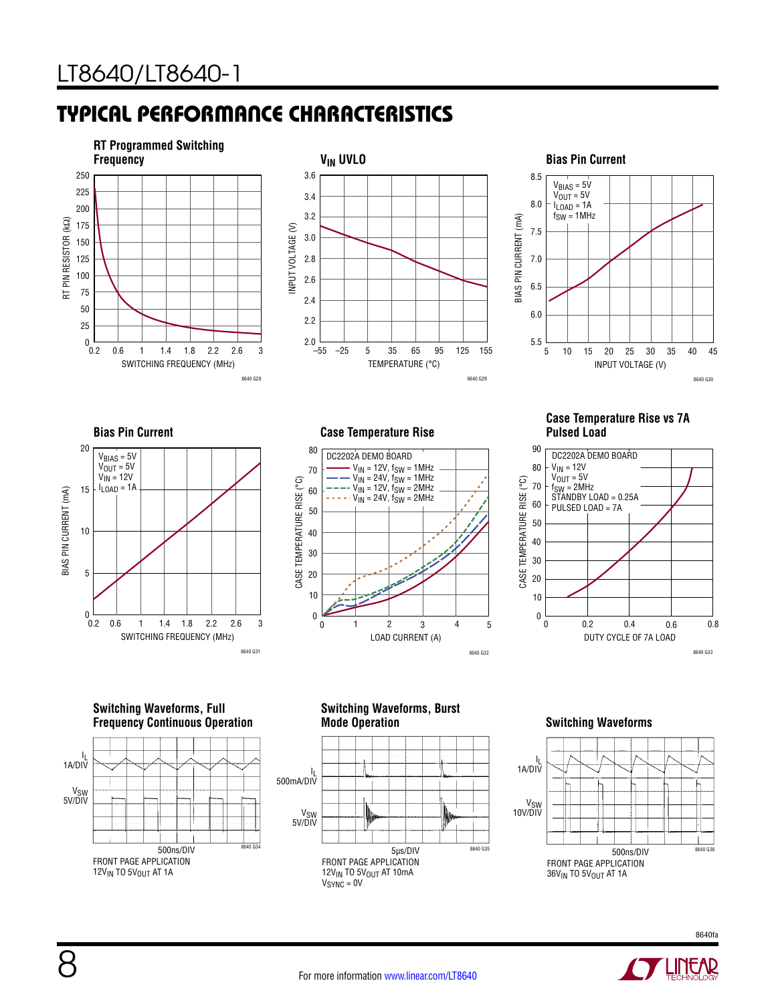



#### 8.5  $V_{BIAS} = 5V$  $V_{OUT} = 5V$ 8.0 I<sub>LOAD</sub> = 1A f<sub>SW</sub> = 1MHz BIAS PIN CURRENT (mA) BIAS PIN CURRENT (mA) 7.5 7.0 6.5 6.0 5.5 5 45 10 15 20 25 30 35 40 INPUT VOLTAGE (V) 8640 G30

#### **Case Temperature Rise vs 7A Pulsed Load**



20  $V_{BIAS} = 5V$  $V_{OUT} = 5V$  $V_{IN} = 12V$  $I_{LOAD} = 1A$ 15 BIAS PIN CURRENT (mA) BIAS PIN CURRENT (mA) 10 5  $\pmb{0}$  $0.2$ 0.6 1 1.8 2.6 3 1.4 2.2 SWITCHING FREQUENCY (MHz) 8640 G31

**Bias Pin Current**

**Case Temperature Rise**



**Switching Waveforms, Full Frequency Continuous Operation**



**Switching Waveforms, Burst** 



#### **Switching Waveforms**



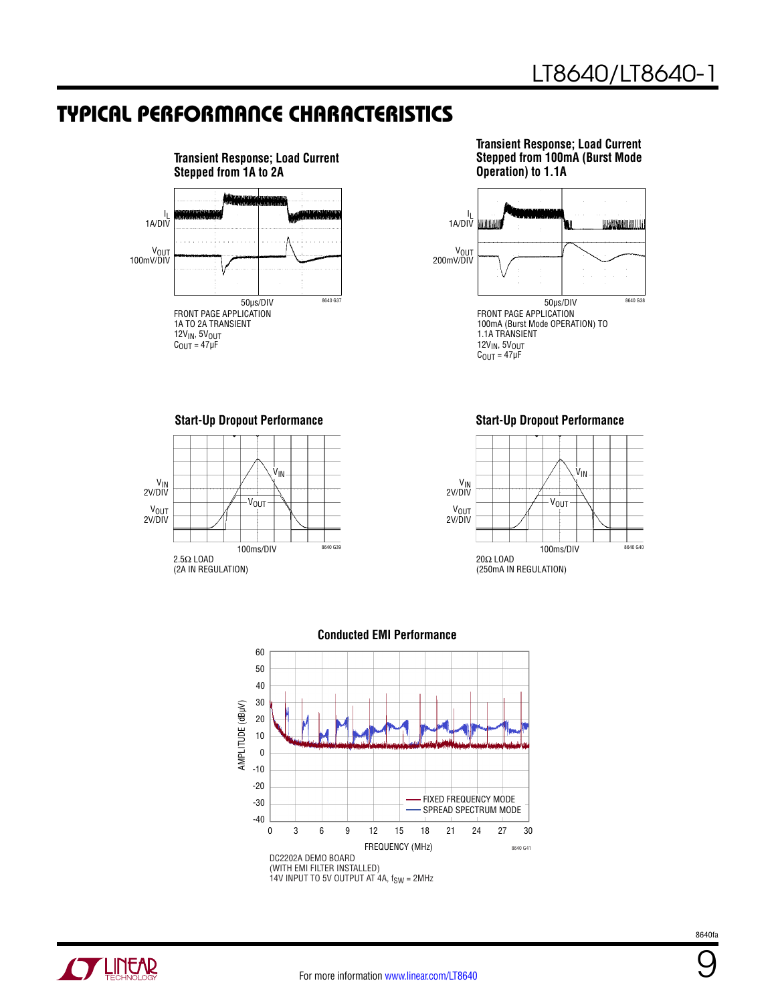

**Transient Response; Load Current Stepped from 100mA (Burst Mode Operation) to 1.1A**



**Start-Up Dropout Performance Start-Up Dropout Performance** ۷<sub>IN</sub><br>2V/DIV V<sub>OUT</sub><br>2V/DIV 100ms/DIV 2.5Ω LOAD (2A IN REGULATION) 8640 G39 .<br>V<sub>IN</sub>  $V_{\text{OUT}}$ 







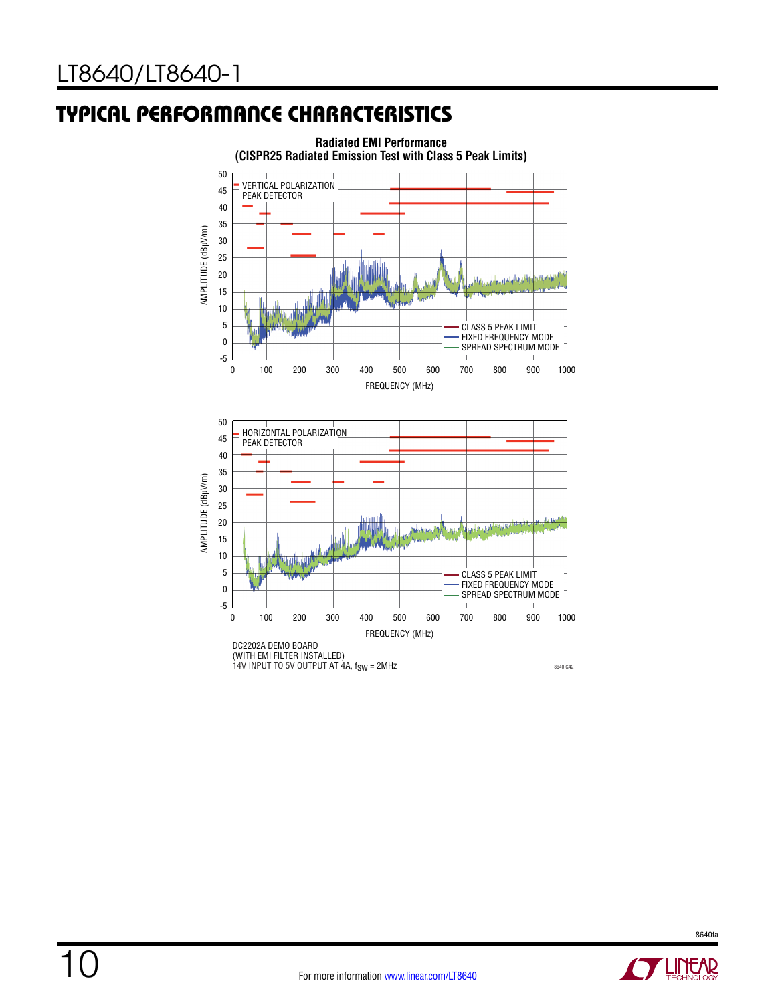10

### Typical Performance Characteristics



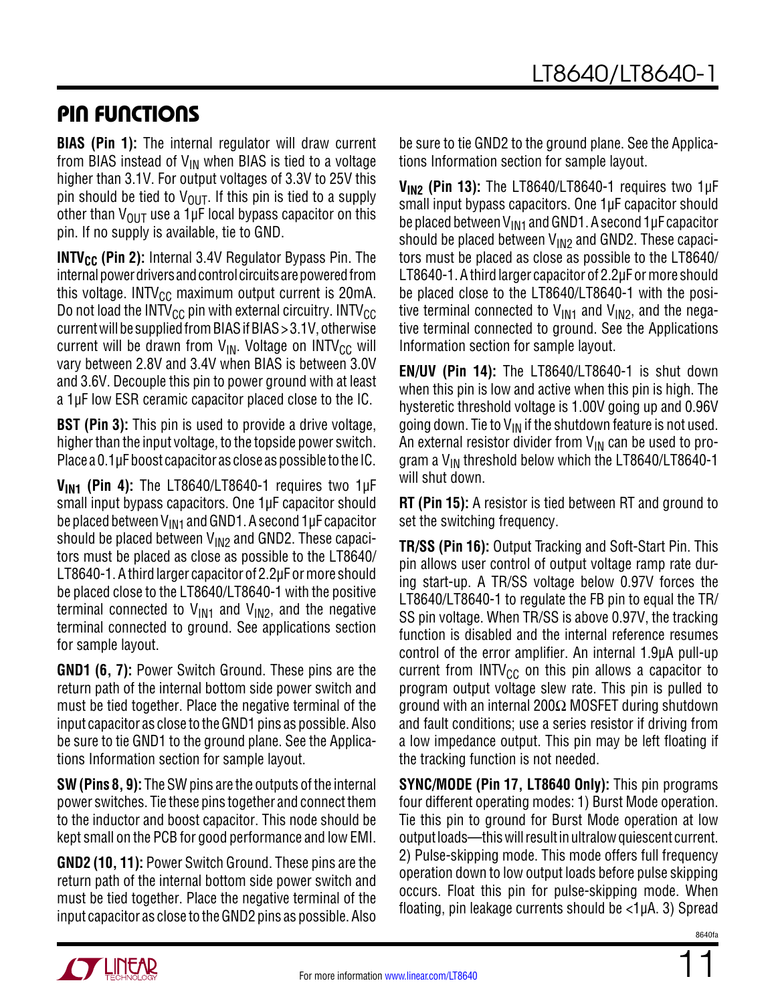### Pin Functions

**BIAS (Pin 1):** The internal regulator will draw current from BIAS instead of  $V_{IN}$  when BIAS is tied to a voltage higher than 3.1V. For output voltages of 3.3V to 25V this pin should be tied to  $V_{\text{OUT}}$ . If this pin is tied to a supply other than  $V_{\text{OUT}}$  use a 1µF local bypass capacitor on this pin. If no supply is available, tie to GND.

**INTV<sub>CC</sub>** (Pin 2): Internal 3.4V Regulator Bypass Pin. The internal power drivers and control circuits are powered from this voltage. INTV $_{\text{CC}}$  maximum output current is 20mA. Do not load the INTV<sub>CC</sub> pin with external circuitry. INTV<sub>CC</sub> current will be supplied from BIAS if BIAS > 3.1V, otherwise current will be drawn from  $V_{IN}$ . Voltage on INTV<sub>CC</sub> will vary between 2.8V and 3.4V when BIAS is between 3.0V and 3.6V. Decouple this pin to power ground with at least a 1µF low ESR ceramic capacitor placed close to the IC.

**BST (Pin 3):** This pin is used to provide a drive voltage, higher than the input voltage, to the topside power switch. Place a 0.1µF boost capacitor as close as possible to the IC.

**VIN1 (Pin 4):** The LT8640/LT8640-1 requires two 1µF small input bypass capacitors. One 1µF capacitor should be placed between  $V_{\text{IM1}}$  and GND1. A second 1µF capacitor should be placed between  $V_{1N2}$  and GND2. These capacitors must be placed as close as possible to the LT8640/ LT8640-1. A third larger capacitor of 2.2µF or more should be placed close to the LT8640/LT8640-1 with the positive terminal connected to  $V_{IN1}$  and  $V_{IN2}$ , and the negative terminal connected to ground. See applications section for sample layout.

**GND1 (6, 7):** Power Switch Ground. These pins are the return path of the internal bottom side power switch and must be tied together. Place the negative terminal of the input capacitor as close to the GND1 pins as possible. Also be sure to tie GND1 to the ground plane. See the Applications Information section for sample layout.

**SW (Pins 8, 9):** The SW pins are the outputs of the internal power switches. Tie these pins together and connect them to the inductor and boost capacitor. This node should be kept small on the PCB for good performance and low EMI.

**GND2 (10, 11):** Power Switch Ground. These pins are the return path of the internal bottom side power switch and must be tied together. Place the negative terminal of the input capacitor as close to the GND2 pins as possible. Also be sure to tie GND2 to the ground plane. See the Applications Information section for sample layout.

**V<sub>IN2</sub> (Pin 13):** The LT8640/LT8640-1 requires two 1µF small input bypass capacitors. One 1µF capacitor should be placed between  $V_{\text{IN1}}$  and GND1. A second 1µF capacitor should be placed between  $V_{1N2}$  and GND2. These capacitors must be placed as close as possible to the LT8640/ LT8640-1. A third larger capacitor of 2.2µF or more should be placed close to the LT8640/LT8640-1 with the positive terminal connected to  $V_{IN1}$  and  $V_{IN2}$ , and the negative terminal connected to ground. See the Applications Information section for sample layout.

**EN/UV (Pin 14):** The LT8640/LT8640-1 is shut down when this pin is low and active when this pin is high. The hysteretic threshold voltage is 1.00V going up and 0.96V going down. Tie to  $V_{IN}$  if the shutdown feature is not used. An external resistor divider from  $V_{IN}$  can be used to program a  $V_{IN}$  threshold below which the LT8640/LT8640-1 will shut down.

**RT (Pin 15):** A resistor is tied between RT and ground to set the switching frequency.

**TR/SS (Pin 16):** Output Tracking and Soft-Start Pin. This pin allows user control of output voltage ramp rate during start-up. A TR/SS voltage below 0.97V forces the LT8640/LT8640-1 to regulate the FB pin to equal the TR/ SS pin voltage. When TR/SS is above 0.97V, the tracking function is disabled and the internal reference resumes control of the error amplifier. An internal 1.9µA pull-up current from  $INTV_{CC}$  on this pin allows a capacitor to program output voltage slew rate. This pin is pulled to ground with an internal 200Ω MOSFET during shutdown and fault conditions; use a series resistor if driving from a low impedance output. This pin may be left floating if the tracking function is not needed.

**SYNC/MODE (Pin 17, LT8640 Only):** This pin programs four different operating modes: 1) Burst Mode operation. Tie this pin to ground for Burst Mode operation at low output loads—this will result in ultralow quiescent current. 2) Pulse-skipping mode. This mode offers full frequency operation down to low output loads before pulse skipping occurs. Float this pin for pulse-skipping mode. When floating, pin leakage currents should be <1µA. 3) Spread



11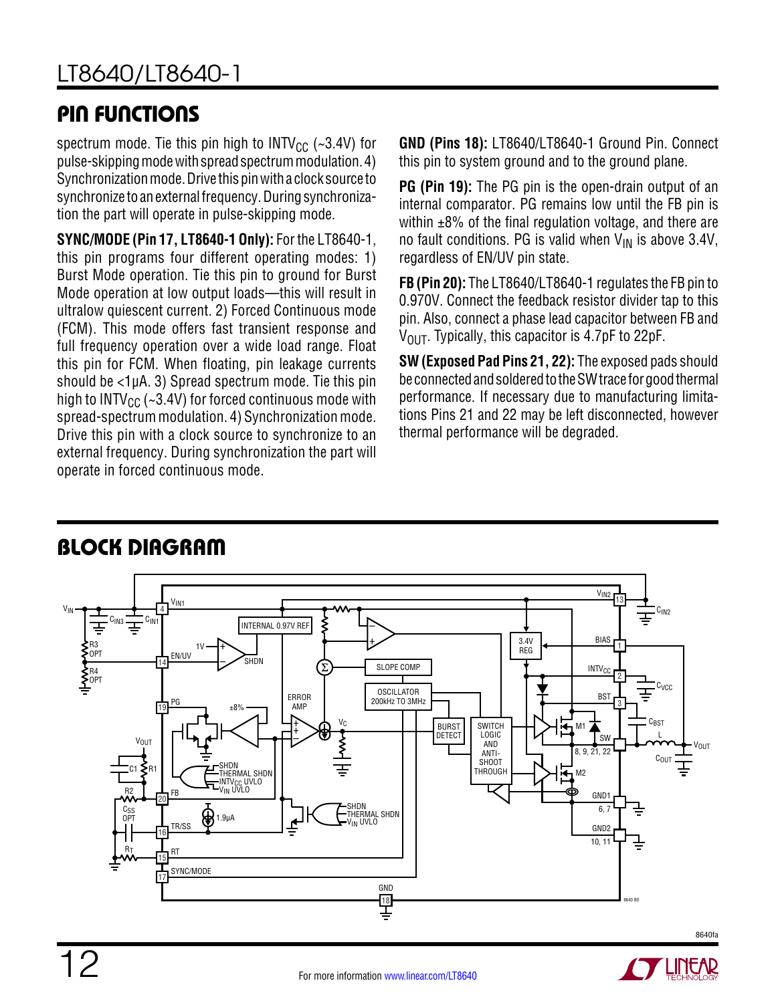### Pin Functions

spectrum mode. Tie this pin high to INTV<sub>CC</sub> (~3.4V) for pulse-skipping mode with spread spectrum modulation. 4) Synchronization mode. Drive this pin with a clock source to synchronize to an external frequency. During synchronization the part will operate in pulse-skipping mode.

**SYNC/MODE (Pin 17, LT8640-1 Only):** For the LT8640-1, this pin programs four different operating modes: 1) Burst Mode operation. Tie this pin to ground for Burst Mode operation at low output loads—this will result in ultralow quiescent current. 2) Forced Continuous mode (FCM). This mode offers fast transient response and full frequency operation over a wide load range. Float this pin for FCM. When floating, pin leakage currents should be  $\langle 1 \mu A. 3 \rangle$  Spread spectrum mode. Tie this pin high to INTV $_{\text{CC}}$  (~3.4V) for forced continuous mode with spread-spectrum modulation. 4) Synchronization mode. Drive this pin with a clock source to synchronize to an external frequency. During synchronization the part will operate in forced continuous mode.

**GND (Pins 18):** LT8640/LT8640-1 Ground Pin. Connect this pin to system ground and to the ground plane.

**PG (Pin 19):** The PG pin is the open-drain output of an internal comparator. PG remains low until the FB pin is within  $\pm 8\%$  of the final regulation voltage, and there are no fault conditions. PG is valid when  $V_{IN}$  is above 3.4V, regardless of EN/UV pin state.

**FB (Pin 20):** The LT8640/LT8640-1 regulates the FB pin to 0.970V. Connect the feedback resistor divider tap to this pin. Also, connect a phase lead capacitor between FB and  $V_{\text{OUT}}$ . Typically, this capacitor is 4.7pF to 22pF.

**SW (Exposed Pad Pins 21, 22):** The exposed pads should be connected and soldered to the SW trace for good thermal performance. If necessary due to manufacturing limitations Pins 21 and 22 may be left disconnected, however thermal performance will be degraded.



### **BLOCK DIAGRAM**

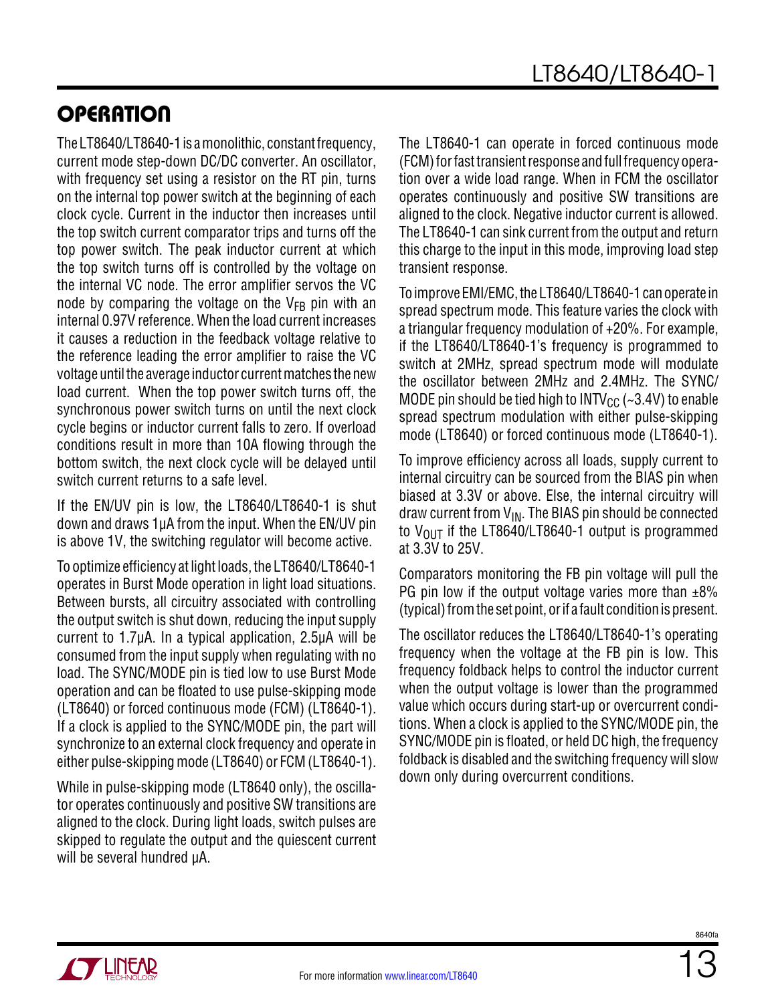### **OPERATION**

The LT8640/LT8640-1 is a monolithic, constant frequency, current mode step-down DC/DC converter. An oscillator, with frequency set using a resistor on the RT pin, turns on the internal top power switch at the beginning of each clock cycle. Current in the inductor then increases until the top switch current comparator trips and turns off the top power switch. The peak inductor current at which the top switch turns off is controlled by the voltage on the internal VC node. The error amplifier servos the VC node by comparing the voltage on the  $V_{FB}$  pin with an internal 0.97V reference. When the load current increases it causes a reduction in the feedback voltage relative to the reference leading the error amplifier to raise the VC voltage until the average inductor current matches the new load current. When the top power switch turns off, the synchronous power switch turns on until the next clock cycle begins or inductor current falls to zero. If overload conditions result in more than 10A flowing through the bottom switch, the next clock cycle will be delayed until switch current returns to a safe level.

If the EN/UV pin is low, the LT8640/LT8640-1 is shut down and draws 1µA from the input. When the EN/UV pin is above 1V, the switching regulator will become active.

To optimize efficiency at light loads, the LT8640/LT8640-1 operates in Burst Mode operation in light load situations. Between bursts, all circuitry associated with controlling the output switch is shut down, reducing the input supply current to 1.7µA. In a typical application, 2.5µA will be consumed from the input supply when regulating with no load. The SYNC/MODE pin is tied low to use Burst Mode operation and can be floated to use pulse-skipping mode (LT8640) or forced continuous mode (FCM) (LT8640-1). If a clock is applied to the SYNC/MODE pin, the part will synchronize to an external clock frequency and operate in either pulse-skipping mode (LT8640) or FCM (LT8640-1).

While in pulse-skipping mode (LT8640 only), the oscillator operates continuously and positive SW transitions are aligned to the clock. During light loads, switch pulses are skipped to regulate the output and the quiescent current will be several hundred µA.

The LT8640-1 can operate in forced continuous mode (FCM) for fast transient response and full frequency operation over a wide load range. When in FCM the oscillator operates continuously and positive SW transitions are aligned to the clock. Negative inductor current is allowed. The LT8640-1 can sink current from the output and return this charge to the input in this mode, improving load step transient response.

To improve EMI/EMC, the LT8640/LT8640-1 can operate in spread spectrum mode. This feature varies the clock with a triangular frequency modulation of +20%. For example, if the LT8640/LT8640-1's frequency is programmed to switch at 2MHz, spread spectrum mode will modulate the oscillator between 2MHz and 2.4MHz. The SYNC/ MODE pin should be tied high to INTV<sub>CC</sub> ( $\sim$ 3.4V) to enable spread spectrum modulation with either pulse-skipping mode (LT8640) or forced continuous mode (LT8640-1).

To improve efficiency across all loads, supply current to internal circuitry can be sourced from the BIAS pin when biased at 3.3V or above. Else, the internal circuitry will draw current from  $V_{IN}$ . The BIAS pin should be connected to  $V_{OIII}$  if the LT8640/LT8640-1 output is programmed at 3.3V to 25V.

Comparators monitoring the FB pin voltage will pull the PG pin low if the output voltage varies more than  $\pm 8\%$ (typical) from the set point, or if a fault condition is present.

The oscillator reduces the LT8640/LT8640-1's operating frequency when the voltage at the FB pin is low. This frequency foldback helps to control the inductor current when the output voltage is lower than the programmed value which occurs during start-up or overcurrent conditions. When a clock is applied to the SYNC/MODE pin, the SYNC/MODE pin is floated, or held DC high, the frequency foldback is disabled and the switching frequency will slow down only during overcurrent conditions.

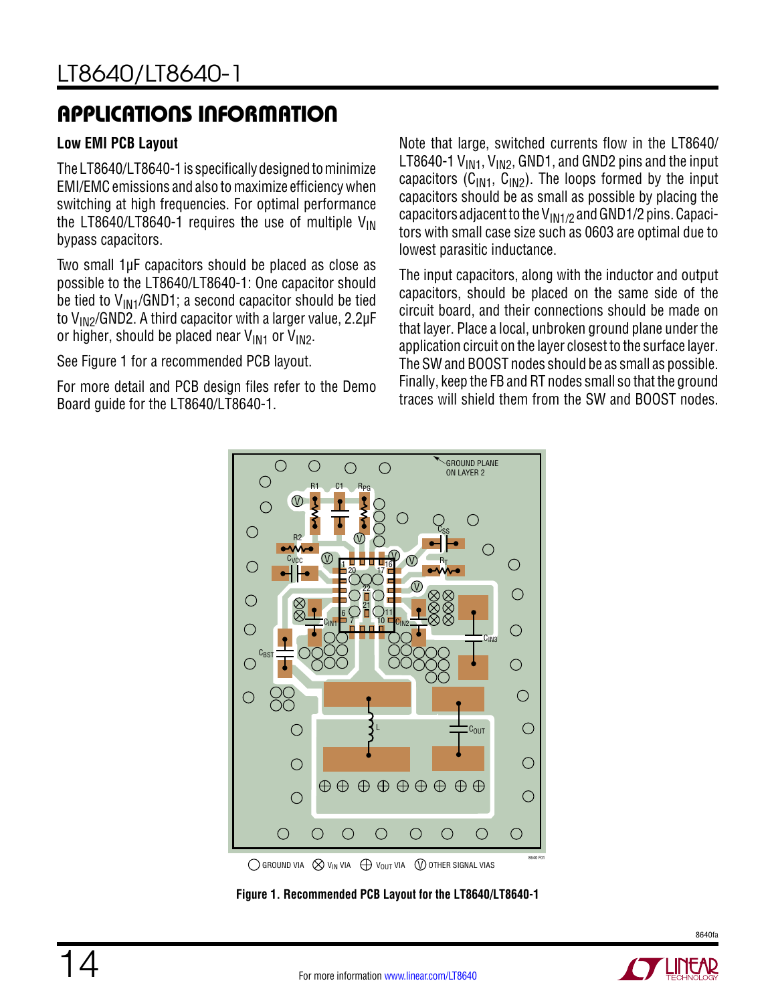#### **Low EMI PCB Layout**

The LT8640/LT8640-1 is specifically designed to minimize EMI/EMC emissions and also to maximize efficiency when switching at high frequencies. For optimal performance the LT8640/LT8640-1 requires the use of multiple  $V_{\text{IN}}$ bypass capacitors.

Two small 1µF capacitors should be placed as close as possible to the LT8640/LT8640-1: One capacitor should be tied to  $V_{\text{IN1}}$ /GND1; a second capacitor should be tied to  $V_{1N2}/GND2$ . A third capacitor with a larger value, 2.2 $\mu$ F or higher, should be placed near  $V_{IN1}$  or  $V_{IN2}$ .

See Figure 1 for a recommended PCB layout.

For more detail and PCB design files refer to the Demo Board guide for the LT8640/LT8640-1.

Note that large, switched currents flow in the LT8640/ LT8640-1  $V_{IN1}$ ,  $V_{IN2}$ , GND1, and GND2 pins and the input capacitors ( $C_{1N1}$ ,  $C_{1N2}$ ). The loops formed by the input capacitors should be as small as possible by placing the capacitors adjacent to the  $V_{IN1/2}$  and GND1/2 pins. Capacitors with small case size such as 0603 are optimal due to lowest parasitic inductance.

The input capacitors, along with the inductor and output capacitors, should be placed on the same side of the circuit board, and their connections should be made on that layer. Place a local, unbroken ground plane under the application circuit on the layer closest to the surface layer. The SW and BOOST nodes should be as small as possible. Finally, keep the FB and RT nodes small so that the ground traces will shield them from the SW and BOOST nodes.



**Figure 1. Recommended PCB Layout for the LT8640/LT8640-1**

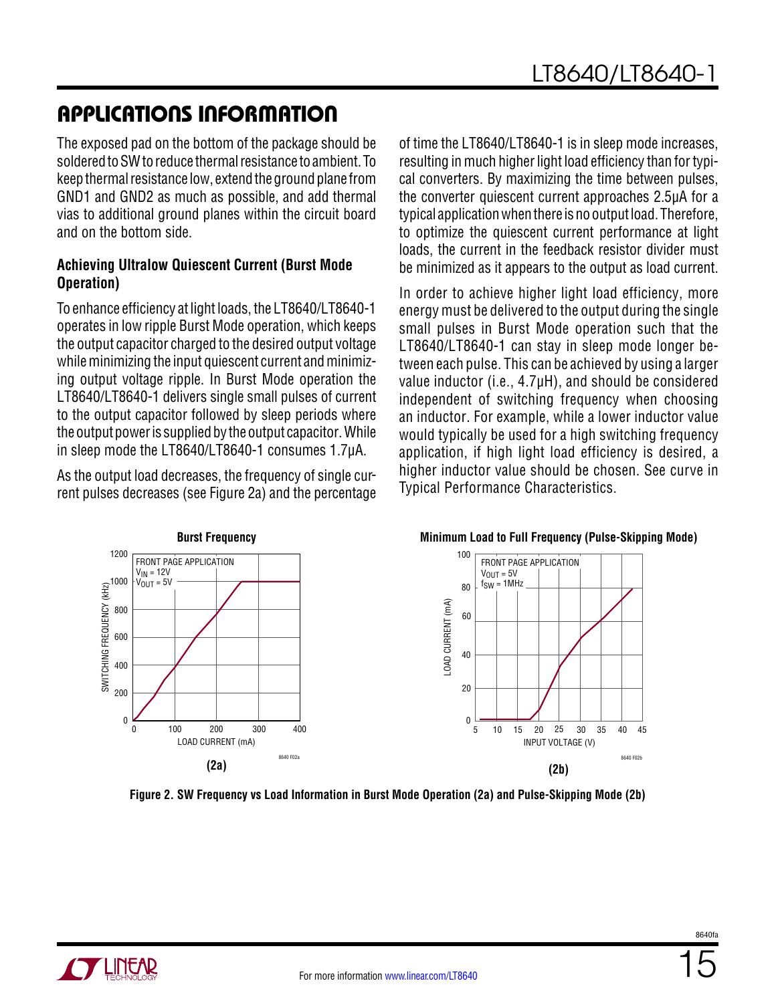The exposed pad on the bottom of the package should be soldered to SW to reduce thermal resistance to ambient. To keep thermal resistance low, extend the ground plane from GND1 and GND2 as much as possible, and add thermal vias to additional ground planes within the circuit board and on the bottom side.

#### **Achieving Ultralow Quiescent Current (Burst Mode Operation)**

To enhance efficiency at light loads, the LT8640/LT8640-1 operates in low ripple Burst Mode operation, which keeps the output capacitor charged to the desired output voltage while minimizing the input quiescent current and minimizing output voltage ripple. In Burst Mode operation the LT8640/LT8640-1 delivers single small pulses of current to the output capacitor followed by sleep periods where the output power is supplied by the output capacitor. While in sleep mode the LT8640/LT8640-1 consumes 1.7µA.

As the output load decreases, the frequency of single current pulses decreases (see Figure 2a) and the percentage of time the LT8640/LT8640-1 is in sleep mode increases, resulting in much higher light load efficiency than for typical converters. By maximizing the time between pulses, the converter quiescent current approaches 2.5µA for a typical application when there is no output load. Therefore, to optimize the quiescent current performance at light loads, the current in the feedback resistor divider must be minimized as it appears to the output as load current.

In order to achieve higher light load efficiency, more energy must be delivered to the output during the single small pulses in Burst Mode operation such that the LT8640/LT8640-1 can stay in sleep mode longer between each pulse. This can be achieved by using a larger value inductor (i.e., 4.7µH), and should be considered independent of switching frequency when choosing an inductor. For example, while a lower inductor value would typically be used for a high switching frequency application, if high light load efficiency is desired, a higher inductor value should be chosen. See curve in Typical Performance Characteristics.



**Figure 2. SW Frequency vs Load Information in Burst Mode Operation (2a) and Pulse-Skipping Mode (2b)**

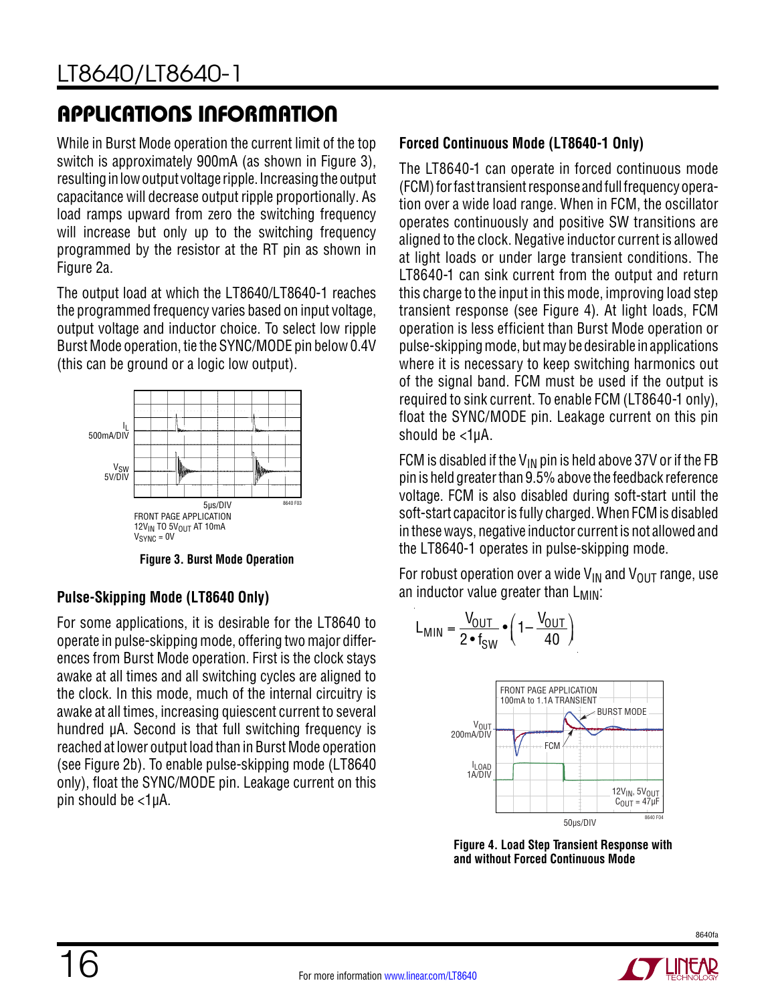While in Burst Mode operation the current limit of the top switch is approximately 900mA (as shown in Figure 3), resulting in low output voltage ripple. Increasing the output capacitance will decrease output ripple proportionally. As load ramps upward from zero the switching frequency will increase but only up to the switching frequency programmed by the resistor at the RT pin as shown in Figure 2a.

The output load at which the LT8640/LT8640-1 reaches the programmed frequency varies based on input voltage, output voltage and inductor choice. To select low ripple Burst Mode operation, tie the SYNC/MODE pin below 0.4V (this can be ground or a logic low output).



**Figure 3. Burst Mode Operation**

### **Pulse-Skipping Mode (LT8640 Only)**

For some applications, it is desirable for the LT8640 to operate in pulse-skipping mode, offering two major differences from Burst Mode operation. First is the clock stays awake at all times and all switching cycles are aligned to the clock. In this mode, much of the internal circuitry is awake at all times, increasing quiescent current to several hundred µA. Second is that full switching frequency is reached at lower output load than in Burst Mode operation (see Figure 2b). To enable pulse-skipping mode (LT8640 only), float the SYNC/MODE pin. Leakage current on this pin should be <1µA.

### **Forced Continuous Mode (LT8640-1 Only)**

The LT8640-1 can operate in forced continuous mode (FCM) for fast transient response and full frequency operation over a wide load range. When in FCM, the oscillator operates continuously and positive SW transitions are aligned to the clock. Negative inductor current is allowed at light loads or under large transient conditions. The LT8640-1 can sink current from the output and return this charge to the input in this mode, improving load step transient response (see [Figure 4\)](#page-15-0). At light loads, FCM operation is less efficient than Burst Mode operation or pulse-skipping mode, but may be desirable in applications where it is necessary to keep switching harmonics out of the signal band. FCM must be used if the output is required to sink current. To enable FCM (LT8640-1 only), float the SYNC/MODE pin. Leakage current on this pin should be <1µA.

FCM is disabled if the  $V_{IN}$  pin is held above 37V or if the FB pin is held greater than 9.5% above the feedback reference voltage. FCM is also disabled during soft-start until the soft-start capacitor is fully charged. When FCM is disabled in these ways, negative inductor current is not allowed and the LT8640-1 operates in pulse-skipping mode.

For robust operation over a wide  $V_{IN}$  and  $V_{OIIT}$  range, use an inductor value greater than  $L_{MIN}$ :

$$
L_{MIN} = \frac{V_{OUT}}{2 \cdot f_{SW}} \cdot \left(1 - \frac{V_{OUT}}{40}\right)
$$



**Figure 4. Load Step Transient Response with and without Forced Continuous Mode**

<span id="page-15-0"></span>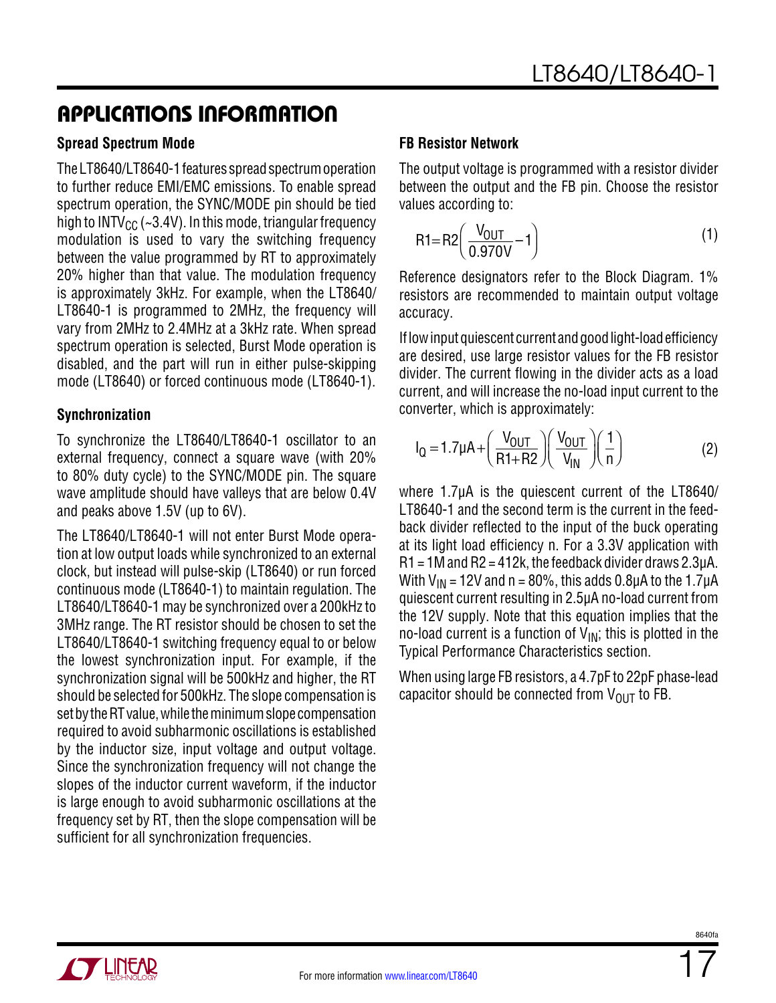#### **Spread Spectrum Mode**

The LT8640/LT8640-1 features spread spectrum operation to further reduce EMI/EMC emissions. To enable spread spectrum operation, the SYNC/MODE pin should be tied high to INTV<sub>CC</sub> (~3.4V). In this mode, triangular frequency modulation is used to vary the switching frequency between the value programmed by RT to approximately 20% higher than that value. The modulation frequency is approximately 3kHz. For example, when the LT8640/ LT8640-1 is programmed to 2MHz, the frequency will vary from 2MHz to 2.4MHz at a 3kHz rate. When spread spectrum operation is selected, Burst Mode operation is disabled, and the part will run in either pulse-skipping mode (LT8640) or forced continuous mode (LT8640-1).

#### **Synchronization**

To synchronize the LT8640/LT8640-1 oscillator to an external frequency, connect a square wave (with 20% to 80% duty cycle) to the SYNC/MODE pin. The square wave amplitude should have valleys that are below 0.4V and peaks above 1.5V (up to 6V).

The LT8640/LT8640-1 will not enter Burst Mode operation at low output loads while synchronized to an external clock, but instead will pulse-skip (LT8640) or run forced continuous mode (LT8640-1) to maintain regulation. The LT8640/LT8640-1 may be synchronized over a 200kHz to 3MHz range. The RT resistor should be chosen to set the LT8640/LT8640-1 switching frequency equal to or below the lowest synchronization input. For example, if the synchronization signal will be 500kHz and higher, the RT should be selected for 500kHz. The slope compensation is set by the RT value, while the minimum slope compensation required to avoid subharmonic oscillations is established by the inductor size, input voltage and output voltage. Since the synchronization frequency will not change the slopes of the inductor current waveform, if the inductor is large enough to avoid subharmonic oscillations at the frequency set by RT, then the slope compensation will be sufficient for all synchronization frequencies.

#### **FB Resistor Network**

The output voltage is programmed with a resistor divider between the output and the FB pin. Choose the resistor values according to:

$$
R1 = R2 \left( \frac{V_{OUT}}{0.970V} - 1 \right)
$$
 (1)

Reference designators refer to the Block Diagram. 1% resistors are recommended to maintain output voltage accuracy.

If low input quiescent current and good light-load efficiency are desired, use large resistor values for the FB resistor divider. The current flowing in the divider acts as a load current, and will increase the no-load input current to the converter, which is approximately:

$$
I_{Q} = 1.7 \mu A + \left(\frac{V_{OUT}}{R1 + R2}\right) \left(\frac{V_{OUT}}{V_{IN}}\right) \left(\frac{1}{n}\right)
$$
 (2)

where 1.7µA is the quiescent current of the LT8640/ LT8640-1 and the second term is the current in the feedback divider reflected to the input of the buck operating at its light load efficiency n. For a 3.3V application with  $R1 = 1M$  and  $R2 = 412k$ , the feedback divider draws 2.3 $\mu$ A. With  $V_{IN}$  = 12V and n = 80%, this adds 0.8µA to the 1.7µA quiescent current resulting in 2.5µA no-load current from the 12V supply. Note that this equation implies that the no-load current is a function of  $V_{IN}$ ; this is plotted in the Typical Performance Characteristics section.

When using large FB resistors, a 4.7pF to 22pF phase-lead capacitor should be connected from  $V_{\text{OUT}}$  to FB.

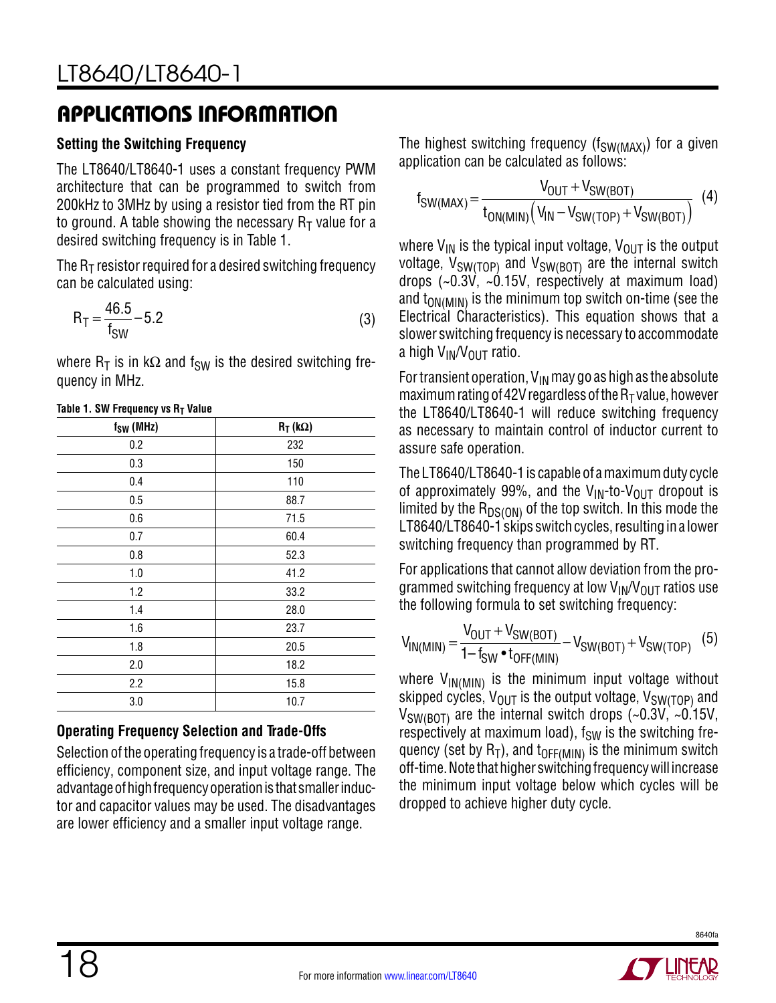#### **Setting the Switching Frequency**

The LT8640/LT8640-1 uses a constant frequency PWM architecture that can be programmed to switch from 200kHz to 3MHz by using a resistor tied from the RT pin to ground. A table showing the necessary  $R<sub>T</sub>$  value for a desired switching frequency is in Table 1.

The  $R<sub>T</sub>$  resistor required for a desired switching frequency can be calculated using:

$$
R_T = \frac{46.5}{f_{SW}} - 5.2
$$
 (3)

where  $R_T$  is in kΩ and f<sub>SW</sub> is the desired switching frequency in MHz.

| f <sub>SW</sub> (MHz) | $R_T$ (k $\Omega$ ) |
|-----------------------|---------------------|
| 0.2                   | 232                 |
| 0.3                   | 150                 |
| 0.4                   | 110                 |
| 0.5                   | 88.7                |
| 0.6                   | 71.5                |
| 0.7                   | 60.4                |
| 0.8                   | 52.3                |
| 1.0                   | 41.2                |
| 1.2                   | 33.2                |
| 1.4                   | 28.0                |
| 1.6                   | 23.7                |
| 1.8                   | 20.5                |
| 2.0                   | 18.2                |
| 2.2                   | 15.8                |
| 3.0                   | 10.7                |

#### **Table 1. SW Frequency vs R<sub>T</sub> Value**

#### **Operating Frequency Selection and Trade-Offs**

Selection of the operating frequency is a trade-off between efficiency, component size, and input voltage range. The advantage of high frequency operation is that smaller inductor and capacitor values may be used. The disadvantages are lower efficiency and a smaller input voltage range.

The highest switching frequency ( $f_{SW(MAX)}$ ) for a given application can be calculated as follows:

$$
f_{SW(MAX)} = \frac{V_{OUT} + V_{SW(BOT)}}{t_{ON(MIN)}(V_{IN} - V_{SW(TOP)} + V_{SW(BOT)})}
$$
(4)

where  $V_{IN}$  is the typical input voltage,  $V_{OUT}$  is the output voltage,  $V_{SW(TOP)}$  and  $V_{SW(BOT)}$  are the internal switch drops  $(-0.3\dot{V}, -0.15V,$  respectively at maximum load) and  $t_{ON(MIN)}$  is the minimum top switch on-time (see the Electrical Characteristics). This equation shows that a slower switching frequency is necessary to accommodate a high  $V_{IN}/V_{OUT}$  ratio.

For transient operation,  $V_{IN}$  may go as high as the absolute maximum rating of 42V regardless of the  $R<sub>T</sub>$  value, however the LT8640/LT8640-1 will reduce switching frequency as necessary to maintain control of inductor current to assure safe operation.

The LT8640/LT8640-1 is capable of a maximum duty cycle of approximately 99%, and the  $V_{\text{IN}}$ -to- $V_{\text{OUT}}$  dropout is limited by the  $R_{DS(ON)}$  of the top switch. In this mode the LT8640/LT8640-1 skips switch cycles, resulting in a lower switching frequency than programmed by RT.

For applications that cannot allow deviation from the programmed switching frequency at low  $V_{IN}/V_{OUT}$  ratios use the following formula to set switching frequency:

$$
V_{IN(MIN)} = \frac{V_{OUT} + V_{SW(BOT)}}{1 - f_{SW} \cdot t_{OFF(MIN)}} - V_{SW(BOT)} + V_{SW(TOP)} \quad (5)
$$

where  $V_{IN(MIN)}$  is the minimum input voltage without skipped cycles,  $V_{\text{OUT}}$  is the output voltage,  $V_{\text{SW(TOP)}}$  and  $V_{SW(BOT)}$  are the internal switch drops (~0.3V, ~0.15V, respectively at maximum load),  $f_{SW}$  is the switching frequency (set by  $R_T$ ), and  $t_{OFF(MIN)}$  is the minimum switch off-time. Note that higher switching frequency will increase the minimum input voltage below which cycles will be dropped to achieve higher duty cycle.

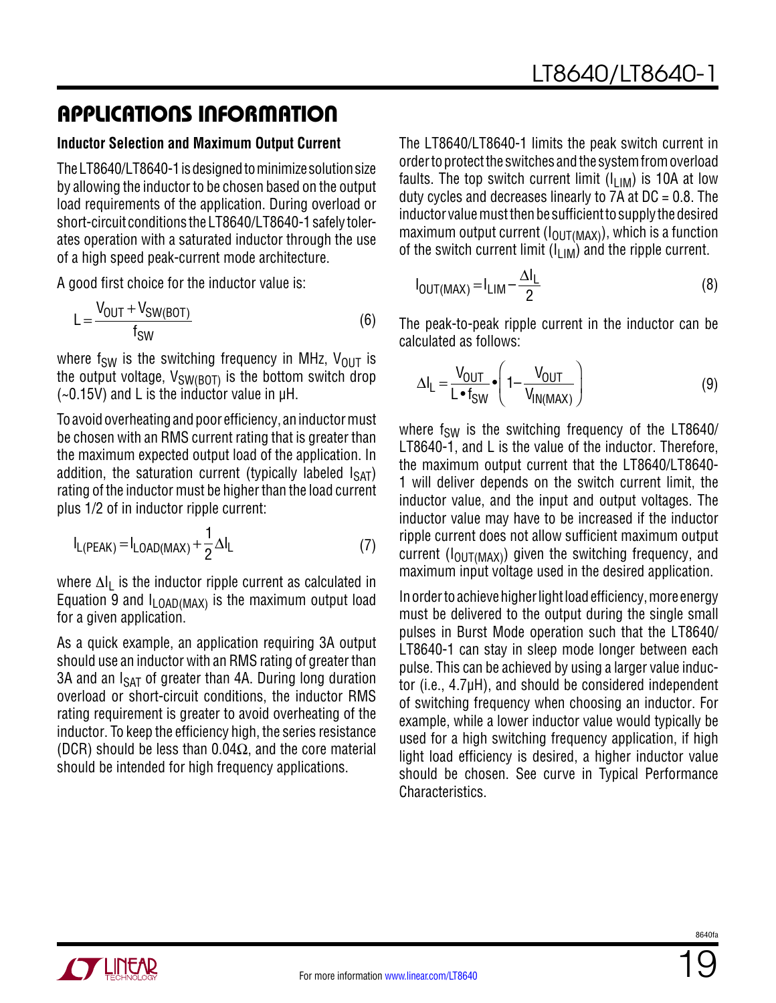#### **Inductor Selection and Maximum Output Current**

The LT8640/LT8640-1 is designed to minimize solution size by allowing the inductor to be chosen based on the output load requirements of the application. During overload or short-circuit conditions the LT8640/LT8640-1 safely tolerates operation with a saturated inductor through the use of a high speed peak-current mode architecture.

A good first choice for the inductor value is:

$$
L = \frac{V_{OUT} + V_{SW(BOT)}}{f_{SW}} \tag{6}
$$

where f<sub>SW</sub> is the switching frequency in MHz,  $V_{OUT}$  is the output voltage,  $V_{SW(BOT)}$  is the bottom switch drop  $(-0.15V)$  and L is the inductor value in  $\mu$ H.

To avoid overheating and poor efficiency, an inductor must be chosen with an RMS current rating that is greater than the maximum expected output load of the application. In addition, the saturation current (typically labeled  $I_{SAT}$ ) rating of the inductor must be higher than the load current plus 1/2 of in inductor ripple current:

$$
I_{L(PEAK)} = I_{LOAD(MAX)} + \frac{1}{2} \Delta I_L
$$
 (7)

where ∆I<sub>L</sub> is the inductor ripple current as calculated in Equation 9 and  $I_{LOAD(MAX)}$  is the maximum output load for a given application.

As a quick example, an application requiring 3A output should use an inductor with an RMS rating of greater than 3A and an  $I_{\text{SAT}}$  of greater than 4A. During long duration overload or short-circuit conditions, the inductor RMS rating requirement is greater to avoid overheating of the inductor. To keep the efficiency high, the series resistance (DCR) should be less than 0.04 $\Omega$ , and the core material should be intended for high frequency applications.

The LT8640/LT8640-1 limits the peak switch current in order to protect the switches and the system from overload faults. The top switch current limit  $(I_{LIM})$  is 10A at low duty cycles and decreases linearly to  $7A$  at  $DC = 0.8$ . The inductor value must then be sufficient to supply the desired maximum output current  $(I<sub>OUT(MAX)</sub>)$ , which is a function of the switch current limit  $(I_{\text{LIM}})$  and the ripple current.

$$
I_{\text{OUT}(MAX)} = I_{\text{LIM}} - \frac{\Delta I_{\text{L}}}{2}
$$
 (8)

The peak-to-peak ripple current in the inductor can be calculated as follows:

$$
\Delta I_{L} = \frac{V_{OUT}}{L \cdot f_{SW}} \cdot \left(1 - \frac{V_{OUT}}{V_{IN(MAX)}}\right)
$$
(9)

where  $f_{SW}$  is the switching frequency of the LT8640/ LT8640-1, and L is the value of the inductor. Therefore, the maximum output current that the LT8640/LT8640- 1 will deliver depends on the switch current limit, the inductor value, and the input and output voltages. The inductor value may have to be increased if the inductor ripple current does not allow sufficient maximum output current ( $I_{\text{OUT}(MAX)}$ ) given the switching frequency, and maximum input voltage used in the desired application.

In order to achieve higher light load efficiency, more energy must be delivered to the output during the single small pulses in Burst Mode operation such that the LT8640/ LT8640-1 can stay in sleep mode longer between each pulse. This can be achieved by using a larger value inductor (i.e., 4.7µH), and should be considered independent of switching frequency when choosing an inductor. For example, while a lower inductor value would typically be used for a high switching frequency application, if high light load efficiency is desired, a higher inductor value should be chosen. See curve in Typical Performance Characteristics.

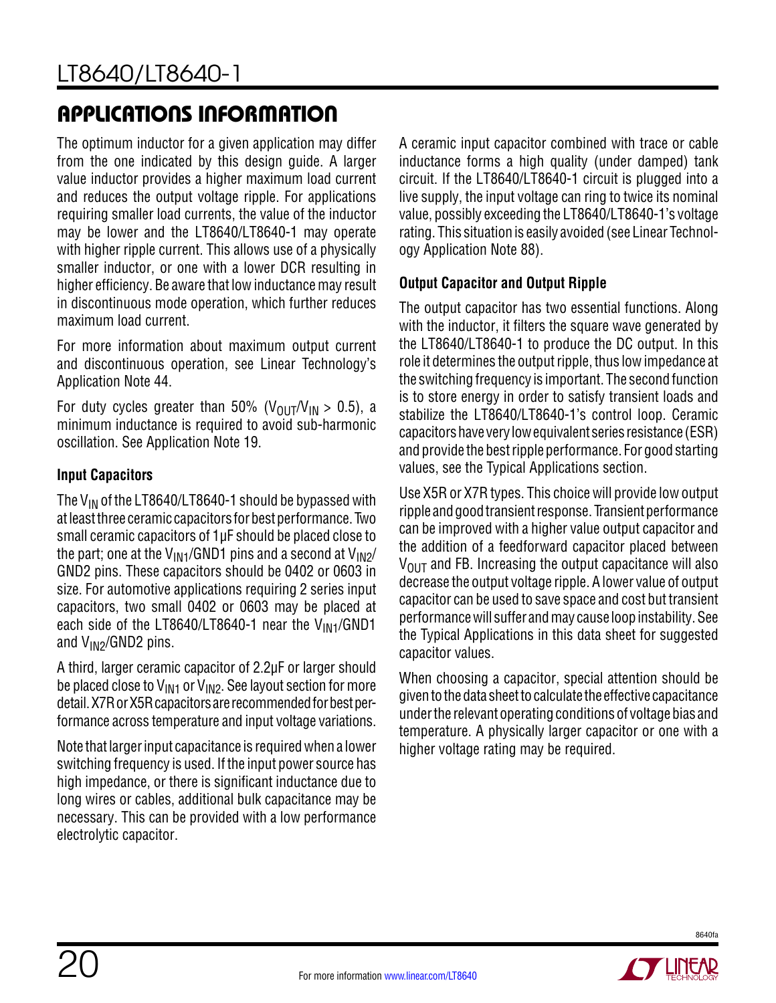The optimum inductor for a given application may differ from the one indicated by this design guide. A larger value inductor provides a higher maximum load current and reduces the output voltage ripple. For applications requiring smaller load currents, the value of the inductor may be lower and the LT8640/LT8640-1 may operate with higher ripple current. This allows use of a physically smaller inductor, or one with a lower DCR resulting in higher efficiency. Be aware that low inductance may result in discontinuous mode operation, which further reduces maximum load current.

For more information about maximum output current and discontinuous operation, see Linear Technology's Application Note 44.

For duty cycles greater than 50% ( $V_{\text{OUT}}/V_{\text{IN}} > 0.5$ ), a minimum inductance is required to avoid sub-harmonic oscillation. See Application Note 19.

### **Input Capacitors**

The  $V_{IN}$  of the LT8640/LT8640-1 should be bypassed with at least three ceramic capacitors for best performance. Two small ceramic capacitors of 1µF should be placed close to the part; one at the  $V_{\text{IN1}}/GND1$  pins and a second at  $V_{\text{IN2}}/G$ GND2 pins. These capacitors should be 0402 or 0603 in size. For automotive applications requiring 2 series input capacitors, two small 0402 or 0603 may be placed at each side of the LT8640/LT8640-1 near the  $V_{\text{IN1}}$ /GND1 and  $V_{IN2}/GND2$  pins.

A third, larger ceramic capacitor of 2.2µF or larger should be placed close to  $V_{IN1}$  or  $V_{IN2}$ . See layout section for more detail. X7R or X5R capacitors are recommended for best performance across temperature and input voltage variations.

Note that larger input capacitance is required when a lower switching frequency is used. If the input power source has high impedance, or there is significant inductance due to long wires or cables, additional bulk capacitance may be necessary. This can be provided with a low performance electrolytic capacitor.

A ceramic input capacitor combined with trace or cable inductance forms a high quality (under damped) tank circuit. If the LT8640/LT8640-1 circuit is plugged into a live supply, the input voltage can ring to twice its nominal value, possibly exceeding the LT8640/LT8640-1's voltage rating. This situation is easily avoided (see Linear Technology Application Note 88).

### **Output Capacitor and Output Ripple**

The output capacitor has two essential functions. Along with the inductor, it filters the square wave generated by the LT8640/LT8640-1 to produce the DC output. In this role it determines the output ripple, thus low impedance at the switching frequency is important. The second function is to store energy in order to satisfy transient loads and stabilize the LT8640/LT8640-1's control loop. Ceramic capacitors have very low equivalent series resistance (ESR) and provide the best ripple performance. For good starting values, see the Typical Applications section.

Use X5R or X7R types. This choice will provide low output ripple and good transient response. Transient performance can be improved with a higher value output capacitor and the addition of a feedforward capacitor placed between  $V<sub>OUT</sub>$  and FB. Increasing the output capacitance will also decrease the output voltage ripple. A lower value of output capacitor can be used to save space and cost but transient performance will suffer and may cause loop instability. See the Typical Applications in this data sheet for suggested capacitor values.

When choosing a capacitor, special attention should be given to the data sheet to calculate the effective capacitance under the relevant operating conditions of voltage bias and temperature. A physically larger capacitor or one with a higher voltage rating may be required.

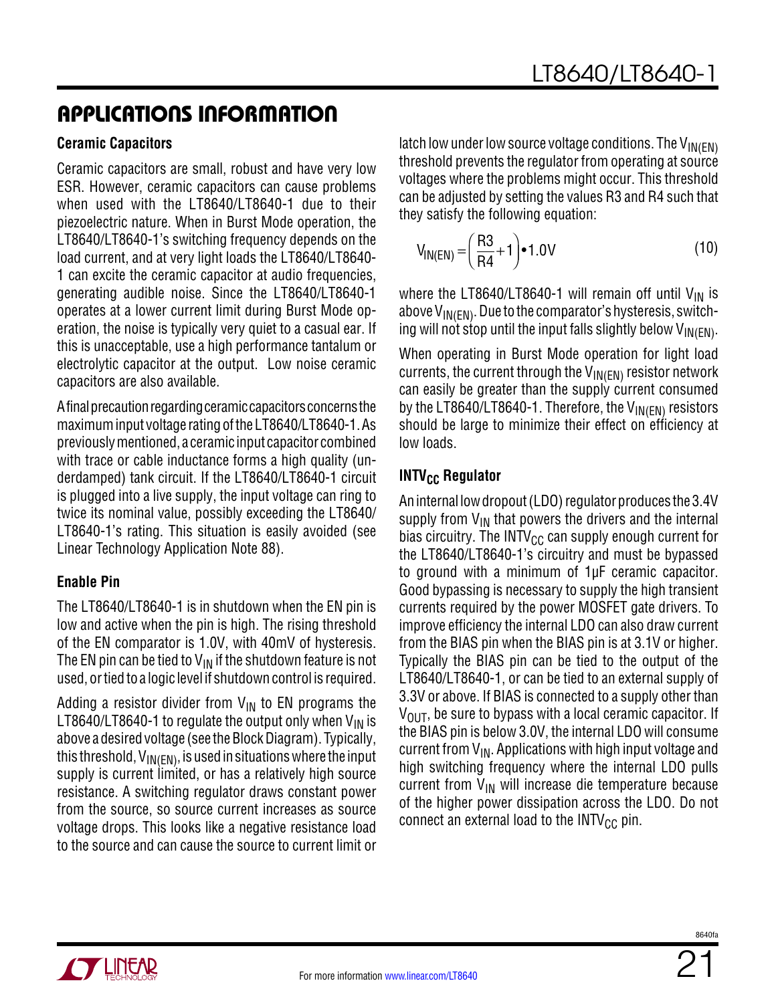#### **Ceramic Capacitors**

Ceramic capacitors are small, robust and have very low ESR. However, ceramic capacitors can cause problems when used with the LT8640/LT8640-1 due to their piezoelectric nature. When in Burst Mode operation, the LT8640/LT8640-1's switching frequency depends on the load current, and at very light loads the LT8640/LT8640- 1 can excite the ceramic capacitor at audio frequencies, generating audible noise. Since the LT8640/LT8640-1 operates at a lower current limit during Burst Mode operation, the noise is typically very quiet to a casual ear. If this is unacceptable, use a high performance tantalum or electrolytic capacitor at the output. Low noise ceramic capacitors are also available.

A final precaution regarding ceramic capacitors concerns the maximum input voltage rating of the LT8640/LT8640-1. As previously mentioned, a ceramic input capacitor combined with trace or cable inductance forms a high quality (underdamped) tank circuit. If the LT8640/LT8640-1 circuit is plugged into a live supply, the input voltage can ring to twice its nominal value, possibly exceeding the LT8640/ LT8640-1's rating. This situation is easily avoided (see Linear Technology Application Note 88).

#### **Enable Pin**

The LT8640/LT8640-1 is in shutdown when the EN pin is low and active when the pin is high. The rising threshold of the EN comparator is 1.0V, with 40mV of hysteresis. The EN pin can be tied to  $V_{IN}$  if the shutdown feature is not used, or tied to a logic level if shutdown control is required.

Adding a resistor divider from  $V_{\text{IN}}$  to EN programs the LT8640/LT8640-1 to regulate the output only when  $V_{IN}$  is above a desired voltage (see the Block Diagram). Typically, this threshold,  $V_{\text{IN}}(EN)$ , is used in situations where the input supply is current limited, or has a relatively high source resistance. A switching regulator draws constant power from the source, so source current increases as source voltage drops. This looks like a negative resistance load to the source and can cause the source to current limit or latch low under low source voltage conditions. The  $V_{\text{IN}}(EN)$ threshold prevents the regulator from operating at source voltages where the problems might occur. This threshold can be adjusted by setting the values R3 and R4 such that they satisfy the following equation:

$$
V_{IN(EN)} = \left(\frac{R3}{R4} + 1\right) \cdot 1.0V
$$
 (10)

where the LT8640/LT8640-1 will remain off until  $V_{IN}$  is above  $V_{\text{IN}(\text{EN})}$ . Due to the comparator's hysteresis, switching will not stop until the input falls slightly below  $V_{\text{IN}}(EN)$ .

When operating in Burst Mode operation for light load currents, the current through the  $V_{\text{IN(EN)}}$  resistor network can easily be greater than the supply current consumed by the LT8640/LT8640-1. Therefore, the V<sub>IN(EN)</sub> resistors should be large to minimize their effect on efficiency at low loads.

### **INTV<sub>CC</sub> Regulator**

An internal low dropout (LDO) regulator produces the 3.4V supply from  $V_{IN}$  that powers the drivers and the internal bias circuitry. The INTV $_{\text{CC}}$  can supply enough current for the LT8640/LT8640-1's circuitry and must be bypassed to ground with a minimum of 1µF ceramic capacitor. Good bypassing is necessary to supply the high transient currents required by the power MOSFET gate drivers. To improve efficiency the internal LDO can also draw current from the BIAS pin when the BIAS pin is at 3.1V or higher. Typically the BIAS pin can be tied to the output of the LT8640/LT8640-1, or can be tied to an external supply of 3.3V or above. If BIAS is connected to a supply other than  $V_{\text{OUT}}$ , be sure to bypass with a local ceramic capacitor. If the BIAS pin is below 3.0V, the internal LDO will consume current from  $V_{IN}$ . Applications with high input voltage and high switching frequency where the internal LDO pulls current from  $V_{\text{IN}}$  will increase die temperature because of the higher power dissipation across the LDO. Do not connect an external load to the  $INTV_{CC}$  pin.

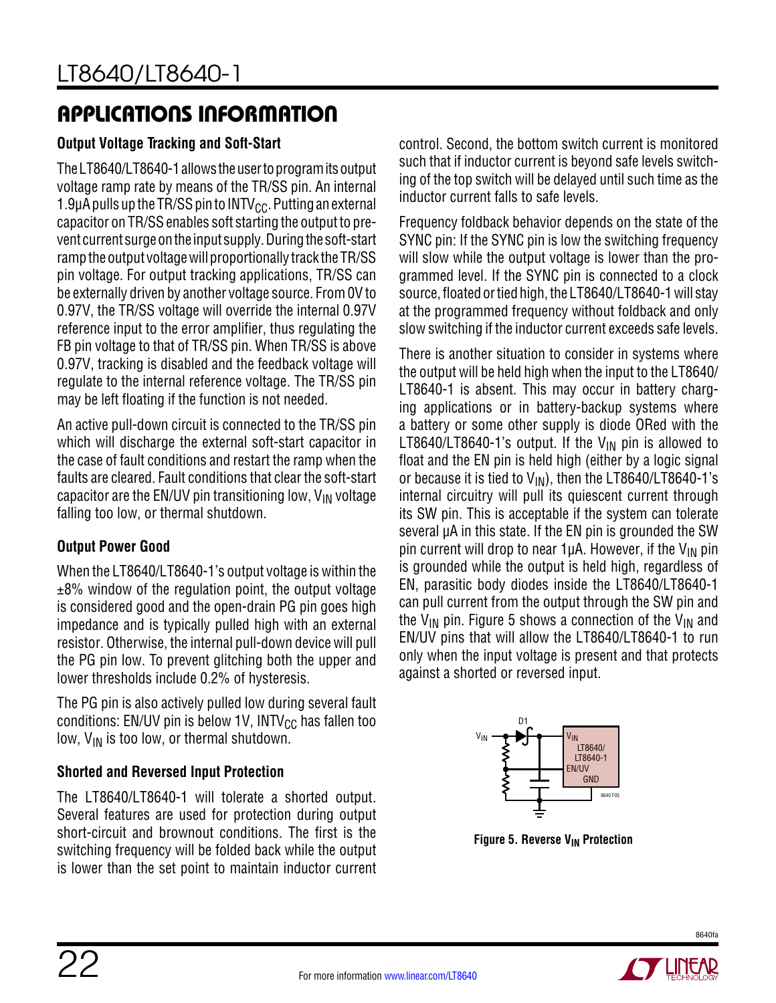### **Output Voltage Tracking and Soft-Start**

The LT8640/LT8640-1 allows the user to program its output voltage ramp rate by means of the TR/SS pin. An internal 1.9 $\mu$ A pulls up the TR/SS pin to INTV<sub>CC</sub>. Putting an external capacitor on TR/SS enables soft starting the output to prevent current surge on the input supply. During the soft-start ramp the output voltage will proportionally track the TR/SS pin voltage. For output tracking applications, TR/SS can be externally driven by another voltage source. From 0V to 0.97V, the TR/SS voltage will override the internal 0.97V reference input to the error amplifier, thus regulating the FB pin voltage to that of TR/SS pin. When TR/SS is above 0.97V, tracking is disabled and the feedback voltage will regulate to the internal reference voltage. The TR/SS pin may be left floating if the function is not needed.

An active pull-down circuit is connected to the TR/SS pin which will discharge the external soft-start capacitor in the case of fault conditions and restart the ramp when the faults are cleared. Fault conditions that clear the soft-start capacitor are the EN/UV pin transitioning low,  $V_{IN}$  voltage falling too low, or thermal shutdown.

### **Output Power Good**

When the LT8640/LT8640-1's output voltage is within the  $±8\%$  window of the regulation point, the output voltage is considered good and the open-drain PG pin goes high impedance and is typically pulled high with an external resistor. Otherwise, the internal pull-down device will pull the PG pin low. To prevent glitching both the upper and lower thresholds include 0.2% of hysteresis.

The PG pin is also actively pulled low during several fault conditions: EN/UV pin is below 1V, INTV $_{\rm CC}$  has fallen too low,  $V_{IN}$  is too low, or thermal shutdown.

### **Shorted and Reversed Input Protection**

The LT8640/LT8640-1 will tolerate a shorted output. Several features are used for protection during output short-circuit and brownout conditions. The first is the switching frequency will be folded back while the output is lower than the set point to maintain inductor current

control. Second, the bottom switch current is monitored such that if inductor current is beyond safe levels switching of the top switch will be delayed until such time as the inductor current falls to safe levels.

Frequency foldback behavior depends on the state of the SYNC pin: If the SYNC pin is low the switching frequency will slow while the output voltage is lower than the programmed level. If the SYNC pin is connected to a clock source, floated or tied high, the LT8640/LT8640-1 will stay at the programmed frequency without foldback and only slow switching if the inductor current exceeds safe levels.

There is another situation to consider in systems where the output will be held high when the input to the LT8640/ LT8640-1 is absent. This may occur in battery charging applications or in battery-backup systems where a battery or some other supply is diode ORed with the LT8640/LT8640-1's output. If the  $V_{IN}$  pin is allowed to float and the EN pin is held high (either by a logic signal or because it is tied to  $V_{IN}$ ), then the LT8640/LT8640-1's internal circuitry will pull its quiescent current through its SW pin. This is acceptable if the system can tolerate several  $\mu$ A in this state. If the EN pin is grounded the SW pin current will drop to near 1 $\mu$ A. However, if the V<sub>IN</sub> pin is grounded while the output is held high, regardless of EN, parasitic body diodes inside the LT8640/LT8640-1 can pull current from the output through the SW pin and the V<sub>IN</sub> pin. [Figure](#page-21-0) 5 shows a connection of the V<sub>IN</sub> and EN/UV pins that will allow the LT8640/LT8640-1 to run only when the input voltage is present and that protects against a shorted or reversed input.



**Figure 5. Reverse V<sub>IN</sub> Protection** 

<span id="page-21-0"></span>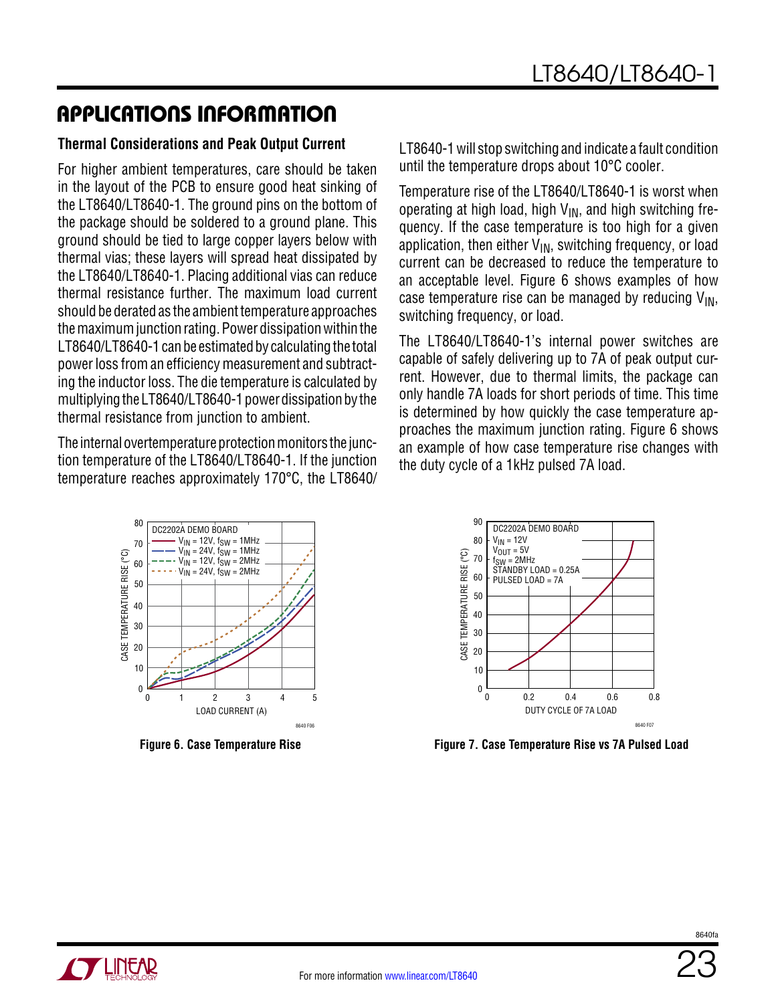#### **Thermal Considerations and Peak Output Current**

For higher ambient temperatures, care should be taken in the layout of the PCB to ensure good heat sinking of the LT8640/LT8640-1. The ground pins on the bottom of the package should be soldered to a ground plane. This ground should be tied to large copper layers below with thermal vias; these layers will spread heat dissipated by the LT8640/LT8640-1. Placing additional vias can reduce thermal resistance further. The maximum load current should be derated as the ambient temperature approaches the maximum junction rating. Power dissipation within the LT8640/LT8640-1 can be estimated by calculating the total power loss from an efficiency measurement and subtracting the inductor loss. The die temperature is calculated by multiplying the LT8640/LT8640-1 power dissipation by the thermal resistance from junction to ambient.

The internal overtemperature protection monitors the junction temperature of the LT8640/LT8640-1. If the junction temperature reaches approximately 170°C, the LT8640/

LT8640-1 will stop switching and indicate a fault condition until the temperature drops about 10°C cooler.

Temperature rise of the LT8640/LT8640-1 is worst when operating at high load, high  $V_{IN}$ , and high switching frequency. If the case temperature is too high for a given application, then either  $V_{IN}$ , switching frequency, or load current can be decreased to reduce the temperature to an acceptable level. [Figure](#page-22-0) 6 shows examples of how case temperature rise can be managed by reducing  $V_{IN}$ , switching frequency, or load.

The LT8640/LT8640-1's internal power switches are capable of safely delivering up to 7A of peak output current. However, due to thermal limits, the package can only handle 7A loads for short periods of time. This time is determined by how quickly the case temperature approaches the maximum junction rating. Figure 6 shows an example of how case temperature rise changes with the duty cycle of a 1kHz pulsed 7A load.



**Figure 6. Case Temperature Rise**



<span id="page-22-0"></span>**Figure 7. Case Temperature Rise vs 7A Pulsed Load**

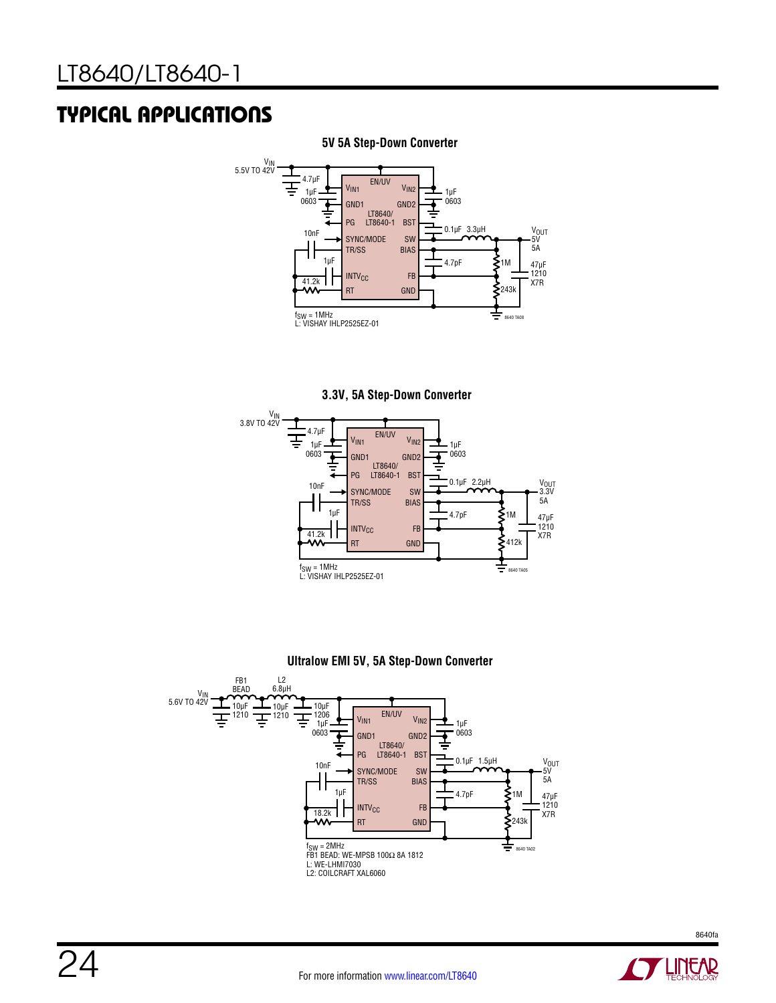## Typical Applications



#### **5V 5A Step-Down Converter**









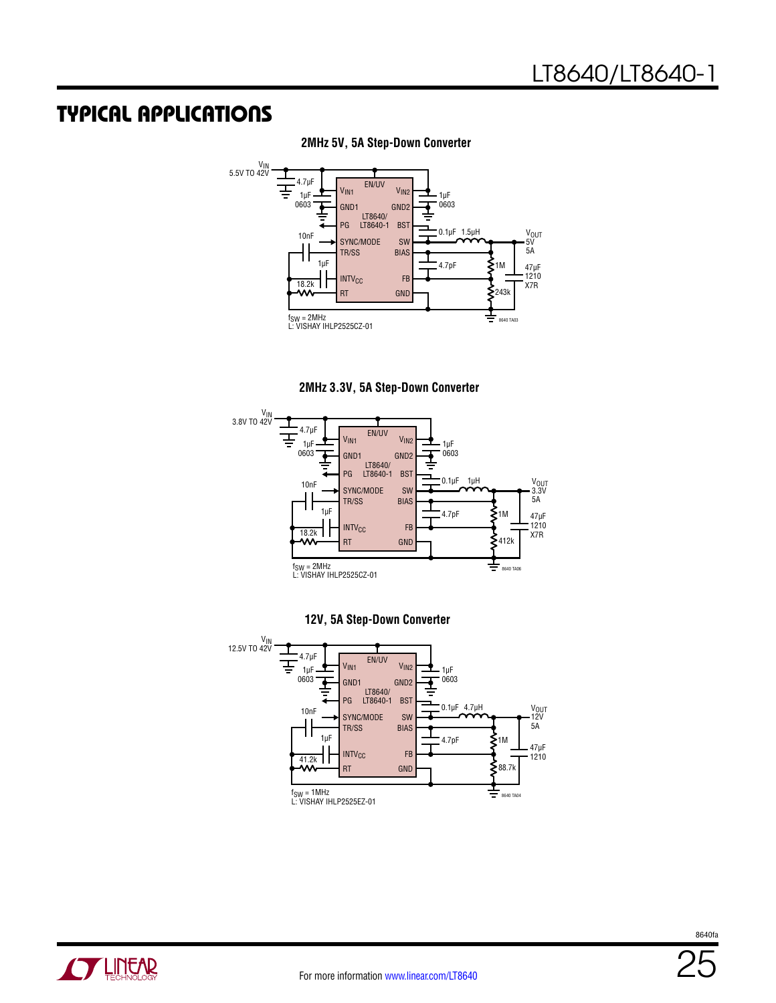### Typical Applications

**2MHz 5V, 5A Step-Down Converter**



**2MHz 3.3V, 5A Step-Down Converter**





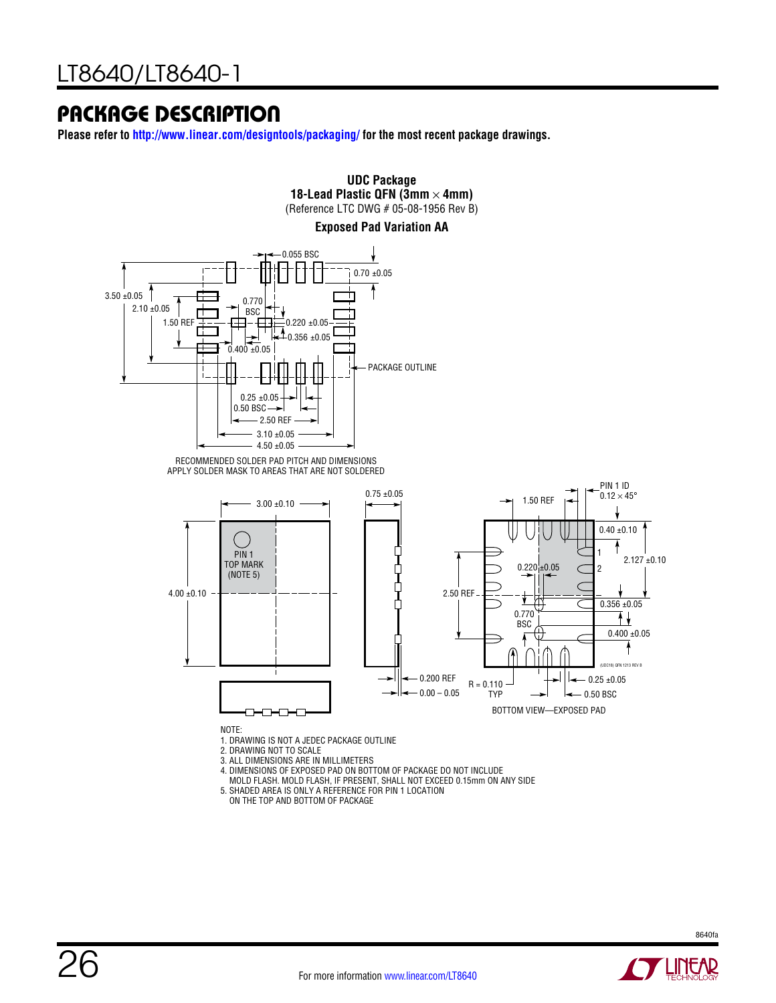### Package Description

**Please refer to <http://www.linear.com/designtools/packaging/>for the most recent package drawings.**



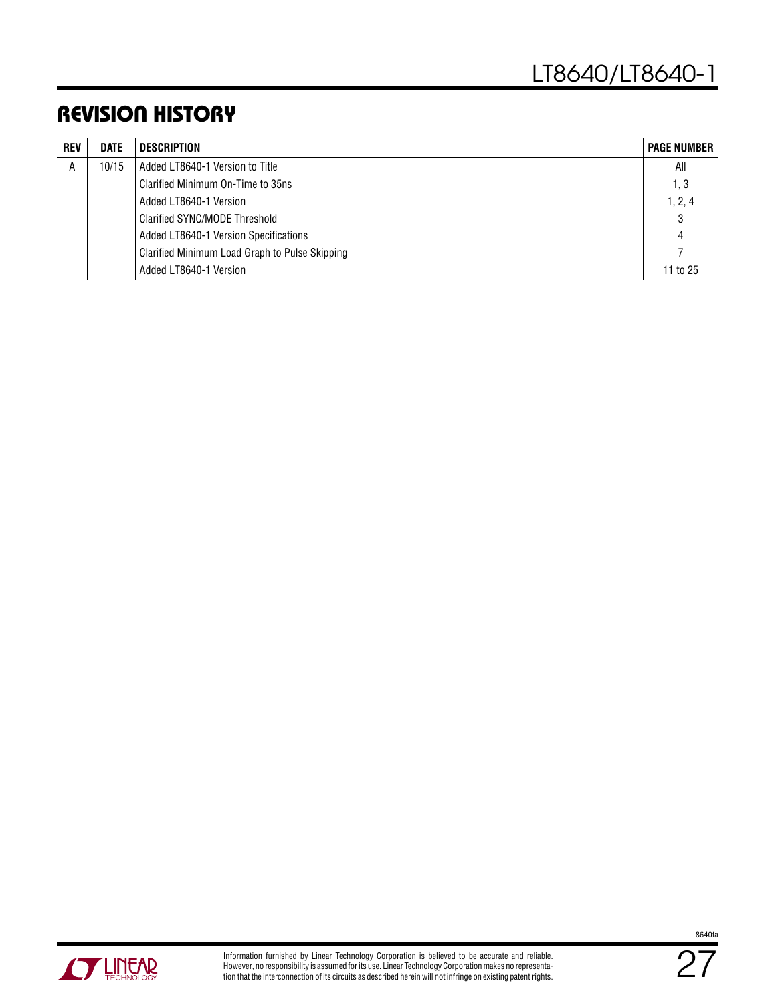### Revision History

| <b>REV</b> | <b>DATE</b> | <b>DESCRIPTION</b>                             | <b>PAGE NUMBER</b> |
|------------|-------------|------------------------------------------------|--------------------|
| A          | 10/15       | Added LT8640-1 Version to Title                | All                |
|            |             | Clarified Minimum On-Time to 35ns              | 1, 3               |
|            |             | Added LT8640-1 Version                         | 1, 2, 4            |
|            |             | Clarified SYNC/MODE Threshold                  | 3                  |
|            |             | Added LT8640-1 Version Specifications          | 4                  |
|            |             | Clarified Minimum Load Graph to Pulse Skipping |                    |
|            |             | Added LT8640-1 Version                         | 11 to 25           |